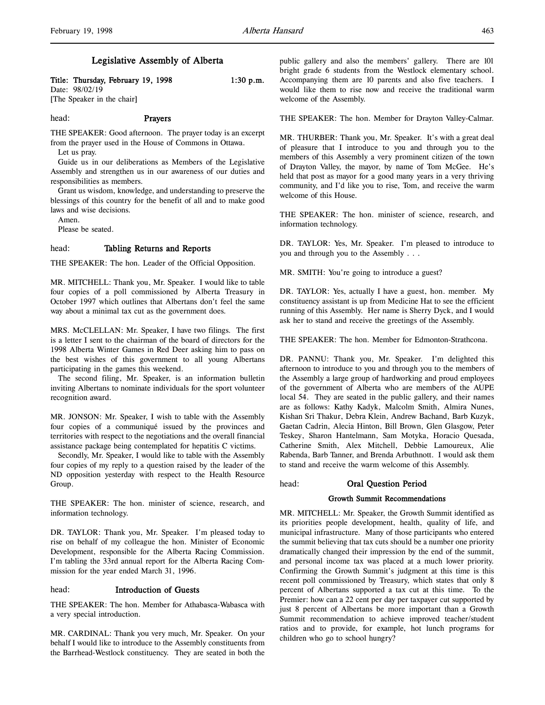# Legislative Assembly of Alberta

# Title: Thursday, February 19, 1998 1:30 p.m.

Date: 98/02/19 [The Speaker in the chair]

#### head: Prayers

THE SPEAKER: Good afternoon. The prayer today is an excerpt from the prayer used in the House of Commons in Ottawa.

Let us pray.

Guide us in our deliberations as Members of the Legislative Assembly and strengthen us in our awareness of our duties and responsibilities as members.

Grant us wisdom, knowledge, and understanding to preserve the blessings of this country for the benefit of all and to make good laws and wise decisions.

Amen.

Please be seated.

#### head: Tabling Returns and Reports

THE SPEAKER: The hon. Leader of the Official Opposition.

MR. MITCHELL: Thank you, Mr. Speaker. I would like to table four copies of a poll commissioned by Alberta Treasury in October 1997 which outlines that Albertans don't feel the same way about a minimal tax cut as the government does.

MRS. McCLELLAN: Mr. Speaker, I have two filings. The first is a letter I sent to the chairman of the board of directors for the 1998 Alberta Winter Games in Red Deer asking him to pass on the best wishes of this government to all young Albertans participating in the games this weekend.

The second filing, Mr. Speaker, is an information bulletin inviting Albertans to nominate individuals for the sport volunteer recognition award.

MR. JONSON: Mr. Speaker, I wish to table with the Assembly four copies of a communiqué issued by the provinces and territories with respect to the negotiations and the overall financial assistance package being contemplated for hepatitis C victims.

Secondly, Mr. Speaker, I would like to table with the Assembly four copies of my reply to a question raised by the leader of the ND opposition yesterday with respect to the Health Resource Group.

THE SPEAKER: The hon. minister of science, research, and information technology.

DR. TAYLOR: Thank you, Mr. Speaker. I'm pleased today to rise on behalf of my colleague the hon. Minister of Economic Development, responsible for the Alberta Racing Commission. I'm tabling the 33rd annual report for the Alberta Racing Commission for the year ended March 31, 1996.

#### head: Introduction of Guests

THE SPEAKER: The hon. Member for Athabasca-Wabasca with a very special introduction.

MR. CARDINAL: Thank you very much, Mr. Speaker. On your behalf I would like to introduce to the Assembly constituents from the Barrhead-Westlock constituency. They are seated in both the

public gallery and also the members' gallery. There are 101 bright grade 6 students from the Westlock elementary school. Accompanying them are 10 parents and also five teachers. I would like them to rise now and receive the traditional warm welcome of the Assembly.

THE SPEAKER: The hon. Member for Drayton Valley-Calmar.

MR. THURBER: Thank you, Mr. Speaker. It's with a great deal of pleasure that I introduce to you and through you to the members of this Assembly a very prominent citizen of the town of Drayton Valley, the mayor, by name of Tom McGee. He's held that post as mayor for a good many years in a very thriving community, and I'd like you to rise, Tom, and receive the warm welcome of this House.

THE SPEAKER: The hon. minister of science, research, and information technology.

DR. TAYLOR: Yes, Mr. Speaker. I'm pleased to introduce to you and through you to the Assembly . . .

MR. SMITH: You're going to introduce a guest?

DR. TAYLOR: Yes, actually I have a guest, hon. member. My constituency assistant is up from Medicine Hat to see the efficient running of this Assembly. Her name is Sherry Dyck, and I would ask her to stand and receive the greetings of the Assembly.

THE SPEAKER: The hon. Member for Edmonton-Strathcona.

DR. PANNU: Thank you, Mr. Speaker. I'm delighted this afternoon to introduce to you and through you to the members of the Assembly a large group of hardworking and proud employees of the government of Alberta who are members of the AUPE local 54. They are seated in the public gallery, and their names are as follows: Kathy Kadyk, Malcolm Smith, Almira Nunes, Kishan Sri Thakur, Debra Klein, Andrew Bachand, Barb Kuzyk, Gaetan Cadrin, Alecia Hinton, Bill Brown, Glen Glasgow, Peter Teskey, Sharon Hantelmann, Sam Motyka, Horacio Quesada, Catherine Smith, Alex Mitchell, Debbie Lamoureux, Alie Rabenda, Barb Tanner, and Brenda Arbuthnott. I would ask them to stand and receive the warm welcome of this Assembly.

#### head: Oral Question Period

# Growth Summit Recommendations

MR. MITCHELL: Mr. Speaker, the Growth Summit identified as its priorities people development, health, quality of life, and municipal infrastructure. Many of those participants who entered the summit believing that tax cuts should be a number one priority dramatically changed their impression by the end of the summit, and personal income tax was placed at a much lower priority. Confirming the Growth Summit's judgment at this time is this recent poll commissioned by Treasury, which states that only 8 percent of Albertans supported a tax cut at this time. To the Premier: how can a 22 cent per day per taxpayer cut supported by just 8 percent of Albertans be more important than a Growth Summit recommendation to achieve improved teacher/student ratios and to provide, for example, hot lunch programs for children who go to school hungry?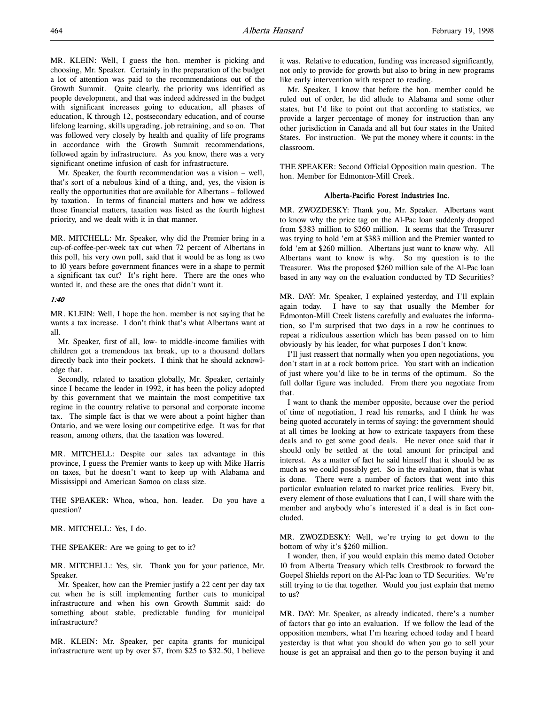MR. KLEIN: Well, I guess the hon. member is picking and choosing, Mr. Speaker. Certainly in the preparation of the budget a lot of attention was paid to the recommendations out of the Growth Summit. Quite clearly, the priority was identified as people development, and that was indeed addressed in the budget with significant increases going to education, all phases of education, K through 12, postsecondary education, and of course lifelong learning, skills upgrading, job retraining, and so on. That was followed very closely by health and quality of life programs in accordance with the Growth Summit recommendations, followed again by infrastructure. As you know, there was a very significant onetime infusion of cash for infrastructure.

Mr. Speaker, the fourth recommendation was a vision – well, that's sort of a nebulous kind of a thing, and, yes, the vision is really the opportunities that are available for Albertans – followed by taxation. In terms of financial matters and how we address those financial matters, taxation was listed as the fourth highest priority, and we dealt with it in that manner.

MR. MITCHELL: Mr. Speaker, why did the Premier bring in a cup-of-coffee-per-week tax cut when 72 percent of Albertans in this poll, his very own poll, said that it would be as long as two to 10 years before government finances were in a shape to permit a significant tax cut? It's right here. There are the ones who wanted it, and these are the ones that didn't want it.

#### 1:40

MR. KLEIN: Well, I hope the hon. member is not saying that he wants a tax increase. I don't think that's what Albertans want at all.

Mr. Speaker, first of all, low- to middle-income families with children got a tremendous tax break, up to a thousand dollars directly back into their pockets. I think that he should acknowledge that.

Secondly, related to taxation globally, Mr. Speaker, certainly since I became the leader in 1992, it has been the policy adopted by this government that we maintain the most competitive tax regime in the country relative to personal and corporate income tax. The simple fact is that we were about a point higher than Ontario, and we were losing our competitive edge. It was for that reason, among others, that the taxation was lowered.

MR. MITCHELL: Despite our sales tax advantage in this province, I guess the Premier wants to keep up with Mike Harris on taxes, but he doesn't want to keep up with Alabama and Mississippi and American Samoa on class size.

THE SPEAKER: Whoa, whoa, hon. leader. Do you have a question?

MR. MITCHELL: Yes, I do.

THE SPEAKER: Are we going to get to it?

MR. MITCHELL: Yes, sir. Thank you for your patience, Mr. Speaker.

Mr. Speaker, how can the Premier justify a 22 cent per day tax cut when he is still implementing further cuts to municipal infrastructure and when his own Growth Summit said: do something about stable, predictable funding for municipal infrastructure?

MR. KLEIN: Mr. Speaker, per capita grants for municipal infrastructure went up by over \$7, from \$25 to \$32.50, I believe it was. Relative to education, funding was increased significantly, not only to provide for growth but also to bring in new programs like early intervention with respect to reading.

Mr. Speaker, I know that before the hon. member could be ruled out of order, he did allude to Alabama and some other states, but I'd like to point out that according to statistics, we provide a larger percentage of money for instruction than any other jurisdiction in Canada and all but four states in the United States. For instruction. We put the money where it counts: in the classroom.

THE SPEAKER: Second Official Opposition main question. The hon. Member for Edmonton-Mill Creek.

#### Alberta-Pacific Forest Industries Inc.

MR. ZWOZDESKY: Thank you, Mr. Speaker. Albertans want to know why the price tag on the Al-Pac loan suddenly dropped from \$383 million to \$260 million. It seems that the Treasurer was trying to hold 'em at \$383 million and the Premier wanted to fold 'em at \$260 million. Albertans just want to know why. All Albertans want to know is why. So my question is to the Treasurer. Was the proposed \$260 million sale of the Al-Pac loan based in any way on the evaluation conducted by TD Securities?

MR. DAY: Mr. Speaker, I explained yesterday, and I'll explain again today. I have to say that usually the Member for Edmonton-Mill Creek listens carefully and evaluates the information, so I'm surprised that two days in a row he continues to repeat a ridiculous assertion which has been passed on to him obviously by his leader, for what purposes I don't know.

I'll just reassert that normally when you open negotiations, you don't start in at a rock bottom price. You start with an indication of just where you'd like to be in terms of the optimum. So the full dollar figure was included. From there you negotiate from that.

I want to thank the member opposite, because over the period of time of negotiation, I read his remarks, and I think he was being quoted accurately in terms of saying: the government should at all times be looking at how to extricate taxpayers from these deals and to get some good deals. He never once said that it should only be settled at the total amount for principal and interest. As a matter of fact he said himself that it should be as much as we could possibly get. So in the evaluation, that is what is done. There were a number of factors that went into this particular evaluation related to market price realities. Every bit, every element of those evaluations that I can, I will share with the member and anybody who's interested if a deal is in fact concluded.

MR. ZWOZDESKY: Well, we're trying to get down to the bottom of why it's \$260 million.

I wonder, then, if you would explain this memo dated October 10 from Alberta Treasury which tells Crestbrook to forward the Goepel Shields report on the Al-Pac loan to TD Securities. We're still trying to tie that together. Would you just explain that memo to us?

MR. DAY: Mr. Speaker, as already indicated, there's a number of factors that go into an evaluation. If we follow the lead of the opposition members, what I'm hearing echoed today and I heard yesterday is that what you should do when you go to sell your house is get an appraisal and then go to the person buying it and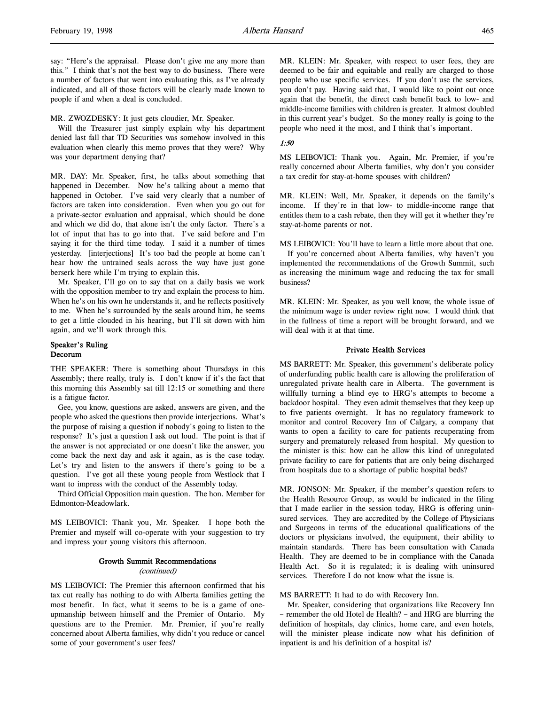#### MR. ZWOZDESKY: It just gets cloudier, Mr. Speaker.

Will the Treasurer just simply explain why his department denied last fall that TD Securities was somehow involved in this evaluation when clearly this memo proves that they were? Why was your department denying that?

MR. DAY: Mr. Speaker, first, he talks about something that happened in December. Now he's talking about a memo that happened in October. I've said very clearly that a number of factors are taken into consideration. Even when you go out for a private-sector evaluation and appraisal, which should be done and which we did do, that alone isn't the only factor. There's a lot of input that has to go into that. I've said before and I'm saying it for the third time today. I said it a number of times yesterday. [interjections] It's too bad the people at home can't hear how the untrained seals across the way have just gone berserk here while I'm trying to explain this.

Mr. Speaker, I'll go on to say that on a daily basis we work with the opposition member to try and explain the process to him. When he's on his own he understands it, and he reflects positively to me. When he's surrounded by the seals around him, he seems to get a little clouded in his hearing, but I'll sit down with him again, and we'll work through this.

## Speaker's Ruling Decorum

THE SPEAKER: There is something about Thursdays in this Assembly; there really, truly is. I don't know if it's the fact that this morning this Assembly sat till 12:15 or something and there is a fatigue factor.

Gee, you know, questions are asked, answers are given, and the people who asked the questions then provide interjections. What's the purpose of raising a question if nobody's going to listen to the response? It's just a question I ask out loud. The point is that if the answer is not appreciated or one doesn't like the answer, you come back the next day and ask it again, as is the case today. Let's try and listen to the answers if there's going to be a question. I've got all these young people from Westlock that I want to impress with the conduct of the Assembly today.

Third Official Opposition main question. The hon. Member for Edmonton-Meadowlark.

MS LEIBOVICI: Thank you, Mr. Speaker. I hope both the Premier and myself will co-operate with your suggestion to try and impress your young visitors this afternoon.

#### Growth Summit Recommendations

#### (continued)

MS LEIBOVICI: The Premier this afternoon confirmed that his tax cut really has nothing to do with Alberta families getting the most benefit. In fact, what it seems to be is a game of oneupmanship between himself and the Premier of Ontario. My questions are to the Premier. Mr. Premier, if you're really concerned about Alberta families, why didn't you reduce or cancel some of your government's user fees?

MR. KLEIN: Mr. Speaker, with respect to user fees, they are deemed to be fair and equitable and really are charged to those people who use specific services. If you don't use the services, you don't pay. Having said that, I would like to point out once again that the benefit, the direct cash benefit back to low- and middle-income families with children is greater. It almost doubled in this current year's budget. So the money really is going to the people who need it the most, and I think that's important.

#### 1:50

MS LEIBOVICI: Thank you. Again, Mr. Premier, if you're really concerned about Alberta families, why don't you consider a tax credit for stay-at-home spouses with children?

MR. KLEIN: Well, Mr. Speaker, it depends on the family's income. If they're in that low- to middle-income range that entitles them to a cash rebate, then they will get it whether they're stay-at-home parents or not.

MS LEIBOVICI: You'll have to learn a little more about that one.

If you're concerned about Alberta families, why haven't you implemented the recommendations of the Growth Summit, such as increasing the minimum wage and reducing the tax for small business?

MR. KLEIN: Mr. Speaker, as you well know, the whole issue of the minimum wage is under review right now. I would think that in the fullness of time a report will be brought forward, and we will deal with it at that time.

#### Private Health Services

MS BARRETT: Mr. Speaker, this government's deliberate policy of underfunding public health care is allowing the proliferation of unregulated private health care in Alberta. The government is willfully turning a blind eye to HRG's attempts to become a backdoor hospital. They even admit themselves that they keep up to five patients overnight. It has no regulatory framework to monitor and control Recovery Inn of Calgary, a company that wants to open a facility to care for patients recuperating from surgery and prematurely released from hospital. My question to the minister is this: how can he allow this kind of unregulated private facility to care for patients that are only being discharged from hospitals due to a shortage of public hospital beds?

MR. JONSON: Mr. Speaker, if the member's question refers to the Health Resource Group, as would be indicated in the filing that I made earlier in the session today, HRG is offering uninsured services. They are accredited by the College of Physicians and Surgeons in terms of the educational qualifications of the doctors or physicians involved, the equipment, their ability to maintain standards. There has been consultation with Canada Health. They are deemed to be in compliance with the Canada Health Act. So it is regulated; it is dealing with uninsured services. Therefore I do not know what the issue is.

#### MS BARRETT: It had to do with Recovery Inn.

Mr. Speaker, considering that organizations like Recovery Inn – remember the old Hotel de Health? – and HRG are blurring the definition of hospitals, day clinics, home care, and even hotels, will the minister please indicate now what his definition of inpatient is and his definition of a hospital is?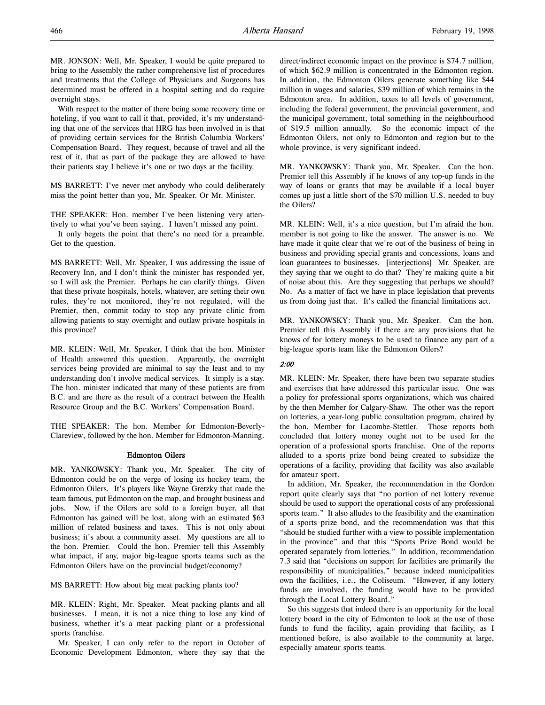MR. JONSON: Well, Mr. Speaker, I would be quite prepared to bring to the Assembly the rather comprehensive list of procedures and treatments that the College of Physicians and Surgeons has determined must be offered in a hospital setting and do require overnight stays.

With respect to the matter of there being some recovery time or hoteling, if you want to call it that, provided, it's my understanding that one of the services that HRG has been involved in is that of providing certain services for the British Columbia Workers' Compensation Board. They request, because of travel and all the rest of it, that as part of the package they are allowed to have their patients stay I believe it's one or two days at the facility.

MS BARRETT: I've never met anybody who could deliberately miss the point better than you, Mr. Speaker. Or Mr. Minister.

THE SPEAKER: Hon. member I've been listening very attentively to what you've been saying. I haven't missed any point.

It only begets the point that there's no need for a preamble. Get to the question.

MS BARRETT: Well, Mr. Speaker, I was addressing the issue of Recovery Inn, and I don't think the minister has responded yet, so I will ask the Premier. Perhaps he can clarify things. Given that these private hospitals, hotels, whatever, are setting their own rules, they're not monitored, they're not regulated, will the Premier, then, commit today to stop any private clinic from allowing patients to stay overnight and outlaw private hospitals in this province?

MR. KLEIN: Well, Mr. Speaker, I think that the hon. Minister of Health answered this question. Apparently, the overnight services being provided are minimal to say the least and to my understanding don't involve medical services. It simply is a stay. The hon. minister indicated that many of these patients are from B.C. and are there as the result of a contract between the Health Resource Group and the B.C. Workers' Compensation Board.

THE SPEAKER: The hon. Member for Edmonton-Beverly-Clareview, followed by the hon. Member for Edmonton-Manning.

#### Edmonton Oilers

MR. YANKOWSKY: Thank you, Mr. Speaker. The city of Edmonton could be on the verge of losing its hockey team, the Edmonton Oilers. It's players like Wayne Gretzky that made the team famous, put Edmonton on the map, and brought business and jobs. Now, if the Oilers are sold to a foreign buyer, all that Edmonton has gained will be lost, along with an estimated \$63 million of related business and taxes. This is not only about business; it's about a community asset. My questions are all to the hon. Premier. Could the hon. Premier tell this Assembly what impact, if any, major big-league sports teams such as the Edmonton Oilers have on the provincial budget/economy?

MS BARRETT: How about big meat packing plants too?

MR. KLEIN: Right, Mr. Speaker. Meat packing plants and all businesses. I mean, it is not a nice thing to lose any kind of business, whether it's a meat packing plant or a professional sports franchise.

Mr. Speaker, I can only refer to the report in October of Economic Development Edmonton, where they say that the

direct/indirect economic impact on the province is \$74.7 million, of which \$62.9 million is concentrated in the Edmonton region. In addition, the Edmonton Oilers generate something like \$44 million in wages and salaries, \$39 million of which remains in the Edmonton area. In addition, taxes to all levels of government, including the federal government, the provincial government, and the municipal government, total something in the neighbourhood of \$19.5 million annually. So the economic impact of the Edmonton Oilers, not only to Edmonton and region but to the whole province, is very significant indeed.

MR. YANKOWSKY: Thank you, Mr. Speaker. Can the hon. Premier tell this Assembly if he knows of any top-up funds in the way of loans or grants that may be available if a local buyer comes up just a little short of the \$70 million U.S. needed to buy the Oilers?

MR. KLEIN: Well, it's a nice question, but I'm afraid the hon. member is not going to like the answer. The answer is no. We have made it quite clear that we're out of the business of being in business and providing special grants and concessions, loans and loan guarantees to businesses. [interjections] Mr. Speaker, are they saying that we ought to do that? They're making quite a bit of noise about this. Are they suggesting that perhaps we should? No. As a matter of fact we have in place legislation that prevents us from doing just that. It's called the financial limitations act.

MR. YANKOWSKY: Thank you, Mr. Speaker. Can the hon. Premier tell this Assembly if there are any provisions that he knows of for lottery moneys to be used to finance any part of a big-league sports team like the Edmonton Oilers?

#### 2:00

MR. KLEIN: Mr. Speaker, there have been two separate studies and exercises that have addressed this particular issue. One was a policy for professional sports organizations, which was chaired by the then Member for Calgary-Shaw. The other was the report on lotteries, a year-long public consultation program, chaired by the hon. Member for Lacombe-Stettler. Those reports both concluded that lottery money ought not to be used for the operation of a professional sports franchise. One of the reports alluded to a sports prize bond being created to subsidize the operations of a facility, providing that facility was also available for amateur sport.

In addition, Mr. Speaker, the recommendation in the Gordon report quite clearly says that "no portion of net lottery revenue should be used to support the operational costs of any professional sports team." It also alludes to the feasibility and the examination of a sports prize bond, and the recommendation was that this "should be studied further with a view to possible implementation in the province" and that this "Sports Prize Bond would be operated separately from lotteries." In addition, recommendation 7.3 said that "decisions on support for facilities are primarily the responsibility of municipalities," because indeed municipalities own the facilities, i.e., the Coliseum. "However, if any lottery funds are involved, the funding would have to be provided through the Local Lottery Board."

So this suggests that indeed there is an opportunity for the local lottery board in the city of Edmonton to look at the use of those funds to fund the facility, again providing that facility, as I mentioned before, is also available to the community at large, especially amateur sports teams.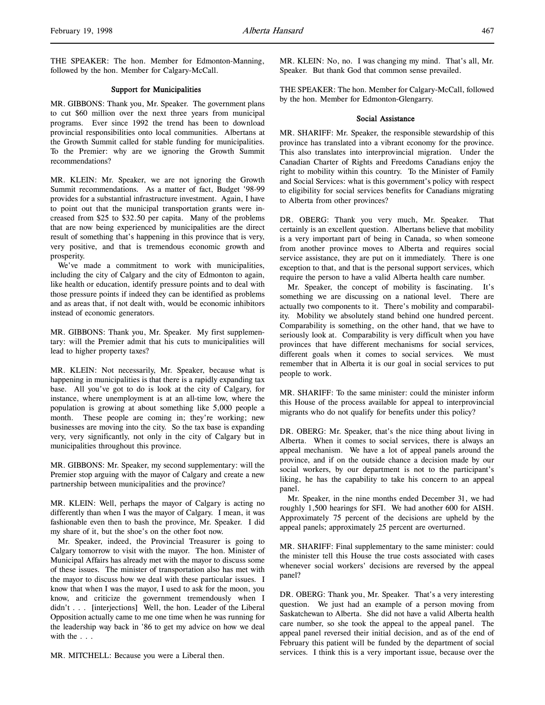THE SPEAKER: The hon. Member for Edmonton-Manning, followed by the hon. Member for Calgary-McCall.

#### Support for Municipalities

MR. GIBBONS: Thank you, Mr. Speaker. The government plans to cut \$60 million over the next three years from municipal programs. Ever since 1992 the trend has been to download provincial responsibilities onto local communities. Albertans at the Growth Summit called for stable funding for municipalities. To the Premier: why are we ignoring the Growth Summit recommendations?

MR. KLEIN: Mr. Speaker, we are not ignoring the Growth Summit recommendations. As a matter of fact, Budget '98-99 provides for a substantial infrastructure investment. Again, I have to point out that the municipal transportation grants were increased from \$25 to \$32.50 per capita. Many of the problems that are now being experienced by municipalities are the direct result of something that's happening in this province that is very, very positive, and that is tremendous economic growth and prosperity.

We've made a commitment to work with municipalities, including the city of Calgary and the city of Edmonton to again, like health or education, identify pressure points and to deal with those pressure points if indeed they can be identified as problems and as areas that, if not dealt with, would be economic inhibitors instead of economic generators.

MR. GIBBONS: Thank you, Mr. Speaker. My first supplementary: will the Premier admit that his cuts to municipalities will lead to higher property taxes?

MR. KLEIN: Not necessarily, Mr. Speaker, because what is happening in municipalities is that there is a rapidly expanding tax base. All you've got to do is look at the city of Calgary, for instance, where unemployment is at an all-time low, where the population is growing at about something like 5,000 people a month. These people are coming in; they're working; new businesses are moving into the city. So the tax base is expanding very, very significantly, not only in the city of Calgary but in municipalities throughout this province.

MR. GIBBONS: Mr. Speaker, my second supplementary: will the Premier stop arguing with the mayor of Calgary and create a new partnership between municipalities and the province?

MR. KLEIN: Well, perhaps the mayor of Calgary is acting no differently than when I was the mayor of Calgary. I mean, it was fashionable even then to bash the province, Mr. Speaker. I did my share of it, but the shoe's on the other foot now.

Mr. Speaker, indeed, the Provincial Treasurer is going to Calgary tomorrow to visit with the mayor. The hon. Minister of Municipal Affairs has already met with the mayor to discuss some of these issues. The minister of transportation also has met with the mayor to discuss how we deal with these particular issues. I know that when I was the mayor, I used to ask for the moon, you know, and criticize the government tremendously when I didn't . . . [interjections] Well, the hon. Leader of the Liberal Opposition actually came to me one time when he was running for the leadership way back in '86 to get my advice on how we deal with the . . .

MR. MITCHELL: Because you were a Liberal then.

MR. KLEIN: No, no. I was changing my mind. That's all, Mr. Speaker. But thank God that common sense prevailed.

THE SPEAKER: The hon. Member for Calgary-McCall, followed by the hon. Member for Edmonton-Glengarry.

#### Social Assistance

MR. SHARIFF: Mr. Speaker, the responsible stewardship of this province has translated into a vibrant economy for the province. This also translates into interprovincial migration. Under the Canadian Charter of Rights and Freedoms Canadians enjoy the right to mobility within this country. To the Minister of Family and Social Services: what is this government's policy with respect to eligibility for social services benefits for Canadians migrating to Alberta from other provinces?

DR. OBERG: Thank you very much, Mr. Speaker. That certainly is an excellent question. Albertans believe that mobility is a very important part of being in Canada, so when someone from another province moves to Alberta and requires social service assistance, they are put on it immediately. There is one exception to that, and that is the personal support services, which require the person to have a valid Alberta health care number.

Mr. Speaker, the concept of mobility is fascinating. It's something we are discussing on a national level. There are actually two components to it. There's mobility and comparability. Mobility we absolutely stand behind one hundred percent. Comparability is something, on the other hand, that we have to seriously look at. Comparability is very difficult when you have provinces that have different mechanisms for social services, different goals when it comes to social services. We must remember that in Alberta it is our goal in social services to put people to work.

MR. SHARIFF: To the same minister: could the minister inform this House of the process available for appeal to interprovincial migrants who do not qualify for benefits under this policy?

DR. OBERG: Mr. Speaker, that's the nice thing about living in Alberta. When it comes to social services, there is always an appeal mechanism. We have a lot of appeal panels around the province, and if on the outside chance a decision made by our social workers, by our department is not to the participant's liking, he has the capability to take his concern to an appeal panel.

Mr. Speaker, in the nine months ended December 31, we had roughly 1,500 hearings for SFI. We had another 600 for AISH. Approximately 75 percent of the decisions are upheld by the appeal panels; approximately 25 percent are overturned.

MR. SHARIFF: Final supplementary to the same minister: could the minister tell this House the true costs associated with cases whenever social workers' decisions are reversed by the appeal panel?

DR. OBERG: Thank you, Mr. Speaker. That's a very interesting question. We just had an example of a person moving from Saskatchewan to Alberta. She did not have a valid Alberta health care number, so she took the appeal to the appeal panel. The appeal panel reversed their initial decision, and as of the end of February this patient will be funded by the department of social services. I think this is a very important issue, because over the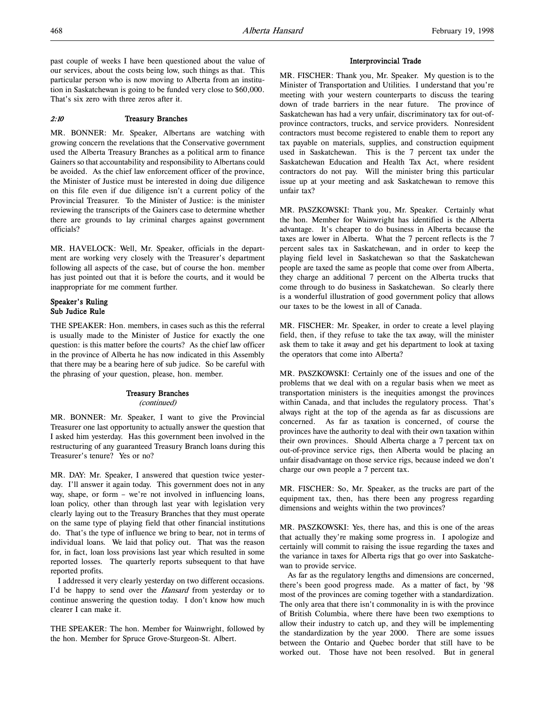past couple of weeks I have been questioned about the value of our services, about the costs being low, such things as that. This particular person who is now moving to Alberta from an institution in Saskatchewan is going to be funded very close to \$60,000. That's six zero with three zeros after it.

#### 2:10 Treasury Branches

MR. BONNER: Mr. Speaker, Albertans are watching with growing concern the revelations that the Conservative government used the Alberta Treasury Branches as a political arm to finance Gainers so that accountability and responsibility to Albertans could be avoided. As the chief law enforcement officer of the province, the Minister of Justice must be interested in doing due diligence on this file even if due diligence isn't a current policy of the Provincial Treasurer. To the Minister of Justice: is the minister reviewing the transcripts of the Gainers case to determine whether there are grounds to lay criminal charges against government officials?

MR. HAVELOCK: Well, Mr. Speaker, officials in the department are working very closely with the Treasurer's department following all aspects of the case, but of course the hon. member has just pointed out that it is before the courts, and it would be inappropriate for me comment further.

#### Speaker's Ruling Sub Judice Rule

THE SPEAKER: Hon. members, in cases such as this the referral is usually made to the Minister of Justice for exactly the one question: is this matter before the courts? As the chief law officer in the province of Alberta he has now indicated in this Assembly that there may be a bearing here of sub judice. So be careful with the phrasing of your question, please, hon. member.

#### Treasury Branches (continued)

MR. BONNER: Mr. Speaker, I want to give the Provincial Treasurer one last opportunity to actually answer the question that I asked him yesterday. Has this government been involved in the restructuring of any guaranteed Treasury Branch loans during this Treasurer's tenure? Yes or no?

MR. DAY: Mr. Speaker, I answered that question twice yesterday. I'll answer it again today. This government does not in any way, shape, or form – we're not involved in influencing loans, loan policy, other than through last year with legislation very clearly laying out to the Treasury Branches that they must operate on the same type of playing field that other financial institutions do. That's the type of influence we bring to bear, not in terms of individual loans. We laid that policy out. That was the reason for, in fact, loan loss provisions last year which resulted in some reported losses. The quarterly reports subsequent to that have reported profits.

I addressed it very clearly yesterday on two different occasions. I'd be happy to send over the *Hansard* from yesterday or to continue answering the question today. I don't know how much clearer I can make it.

THE SPEAKER: The hon. Member for Wainwright, followed by the hon. Member for Spruce Grove-Sturgeon-St. Albert.

#### Interprovincial Trade

MR. FISCHER: Thank you, Mr. Speaker. My question is to the Minister of Transportation and Utilities. I understand that you're meeting with your western counterparts to discuss the tearing down of trade barriers in the near future. The province of Saskatchewan has had a very unfair, discriminatory tax for out-ofprovince contractors, trucks, and service providers. Nonresident contractors must become registered to enable them to report any tax payable on materials, supplies, and construction equipment used in Saskatchewan. This is the 7 percent tax under the Saskatchewan Education and Health Tax Act, where resident contractors do not pay. Will the minister bring this particular issue up at your meeting and ask Saskatchewan to remove this unfair tax?

MR. PASZKOWSKI: Thank you, Mr. Speaker. Certainly what the hon. Member for Wainwright has identified is the Alberta advantage. It's cheaper to do business in Alberta because the taxes are lower in Alberta. What the 7 percent reflects is the 7 percent sales tax in Saskatchewan, and in order to keep the playing field level in Saskatchewan so that the Saskatchewan people are taxed the same as people that come over from Alberta, they charge an additional 7 percent on the Alberta trucks that come through to do business in Saskatchewan. So clearly there is a wonderful illustration of good government policy that allows our taxes to be the lowest in all of Canada.

MR. FISCHER: Mr. Speaker, in order to create a level playing field, then, if they refuse to take the tax away, will the minister ask them to take it away and get his department to look at taxing the operators that come into Alberta?

MR. PASZKOWSKI: Certainly one of the issues and one of the problems that we deal with on a regular basis when we meet as transportation ministers is the inequities amongst the provinces within Canada, and that includes the regulatory process. That's always right at the top of the agenda as far as discussions are concerned. As far as taxation is concerned, of course the provinces have the authority to deal with their own taxation within their own provinces. Should Alberta charge a 7 percent tax on out-of-province service rigs, then Alberta would be placing an unfair disadvantage on those service rigs, because indeed we don't charge our own people a 7 percent tax.

MR. FISCHER: So, Mr. Speaker, as the trucks are part of the equipment tax, then, has there been any progress regarding dimensions and weights within the two provinces?

MR. PASZKOWSKI: Yes, there has, and this is one of the areas that actually they're making some progress in. I apologize and certainly will commit to raising the issue regarding the taxes and the variance in taxes for Alberta rigs that go over into Saskatchewan to provide service.

As far as the regulatory lengths and dimensions are concerned, there's been good progress made. As a matter of fact, by '98 most of the provinces are coming together with a standardization. The only area that there isn't commonality in is with the province of British Columbia, where there have been two exemptions to allow their industry to catch up, and they will be implementing the standardization by the year 2000. There are some issues between the Ontario and Quebec border that still have to be worked out. Those have not been resolved. But in general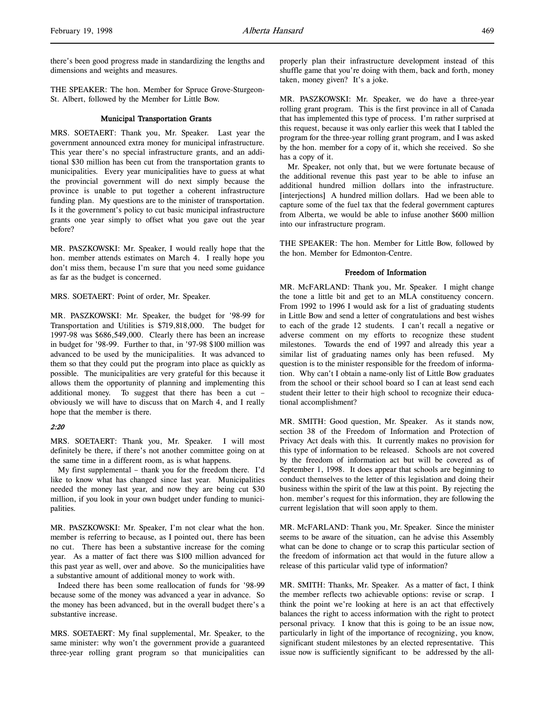there's been good progress made in standardizing the lengths and dimensions and weights and measures.

THE SPEAKER: The hon. Member for Spruce Grove-Sturgeon-St. Albert, followed by the Member for Little Bow.

#### Municipal Transportation Grants

MRS. SOETAERT: Thank you, Mr. Speaker. Last year the government announced extra money for municipal infrastructure. This year there's no special infrastructure grants, and an additional \$30 million has been cut from the transportation grants to municipalities. Every year municipalities have to guess at what the provincial government will do next simply because the province is unable to put together a coherent infrastructure funding plan. My questions are to the minister of transportation. Is it the government's policy to cut basic municipal infrastructure grants one year simply to offset what you gave out the year before?

MR. PASZKOWSKI: Mr. Speaker, I would really hope that the hon. member attends estimates on March 4. I really hope you don't miss them, because I'm sure that you need some guidance as far as the budget is concerned.

MRS. SOETAERT: Point of order, Mr. Speaker.

MR. PASZKOWSKI: Mr. Speaker, the budget for '98-99 for Transportation and Utilities is \$719,818,000. The budget for 1997-98 was \$686,549,000. Clearly there has been an increase in budget for '98-99. Further to that, in '97-98 \$100 million was advanced to be used by the municipalities. It was advanced to them so that they could put the program into place as quickly as possible. The municipalities are very grateful for this because it allows them the opportunity of planning and implementing this additional money. To suggest that there has been a cut – obviously we will have to discuss that on March 4, and I really hope that the member is there.

#### 2:20

MRS. SOETAERT: Thank you, Mr. Speaker. I will most definitely be there, if there's not another committee going on at the same time in a different room, as is what happens.

My first supplemental – thank you for the freedom there. I'd like to know what has changed since last year. Municipalities needed the money last year, and now they are being cut \$30 million, if you look in your own budget under funding to municipalities.

MR. PASZKOWSKI: Mr. Speaker, I'm not clear what the hon. member is referring to because, as I pointed out, there has been no cut. There has been a substantive increase for the coming year. As a matter of fact there was \$100 million advanced for this past year as well, over and above. So the municipalities have a substantive amount of additional money to work with.

Indeed there has been some reallocation of funds for '98-99 because some of the money was advanced a year in advance. So the money has been advanced, but in the overall budget there's a substantive increase.

MRS. SOETAERT: My final supplemental, Mr. Speaker, to the same minister: why won't the government provide a guaranteed three-year rolling grant program so that municipalities can

properly plan their infrastructure development instead of this shuffle game that you're doing with them, back and forth, money taken, money given? It's a joke.

MR. PASZKOWSKI: Mr. Speaker, we do have a three-year rolling grant program. This is the first province in all of Canada that has implemented this type of process. I'm rather surprised at this request, because it was only earlier this week that I tabled the program for the three-year rolling grant program, and I was asked by the hon. member for a copy of it, which she received. So she has a copy of it.

Mr. Speaker, not only that, but we were fortunate because of the additional revenue this past year to be able to infuse an additional hundred million dollars into the infrastructure. [interjections] A hundred million dollars. Had we been able to capture some of the fuel tax that the federal government captures from Alberta, we would be able to infuse another \$600 million into our infrastructure program.

THE SPEAKER: The hon. Member for Little Bow, followed by the hon. Member for Edmonton-Centre.

#### Freedom of Information

MR. McFARLAND: Thank you, Mr. Speaker. I might change the tone a little bit and get to an MLA constituency concern. From 1992 to 1996 I would ask for a list of graduating students in Little Bow and send a letter of congratulations and best wishes to each of the grade 12 students. I can't recall a negative or adverse comment on my efforts to recognize these student milestones. Towards the end of 1997 and already this year a similar list of graduating names only has been refused. My question is to the minister responsible for the freedom of information. Why can't I obtain a name-only list of Little Bow graduates from the school or their school board so I can at least send each student their letter to their high school to recognize their educational accomplishment?

MR. SMITH: Good question, Mr. Speaker. As it stands now, section 38 of the Freedom of Information and Protection of Privacy Act deals with this. It currently makes no provision for this type of information to be released. Schools are not covered by the freedom of information act but will be covered as of September 1, 1998. It does appear that schools are beginning to conduct themselves to the letter of this legislation and doing their business within the spirit of the law at this point. By rejecting the hon. member's request for this information, they are following the current legislation that will soon apply to them.

MR. McFARLAND: Thank you, Mr. Speaker. Since the minister seems to be aware of the situation, can he advise this Assembly what can be done to change or to scrap this particular section of the freedom of information act that would in the future allow a release of this particular valid type of information?

MR. SMITH: Thanks, Mr. Speaker. As a matter of fact, I think the member reflects two achievable options: revise or scrap. I think the point we're looking at here is an act that effectively balances the right to access information with the right to protect personal privacy. I know that this is going to be an issue now, particularly in light of the importance of recognizing, you know, significant student milestones by an elected representative. This issue now is sufficiently significant to be addressed by the all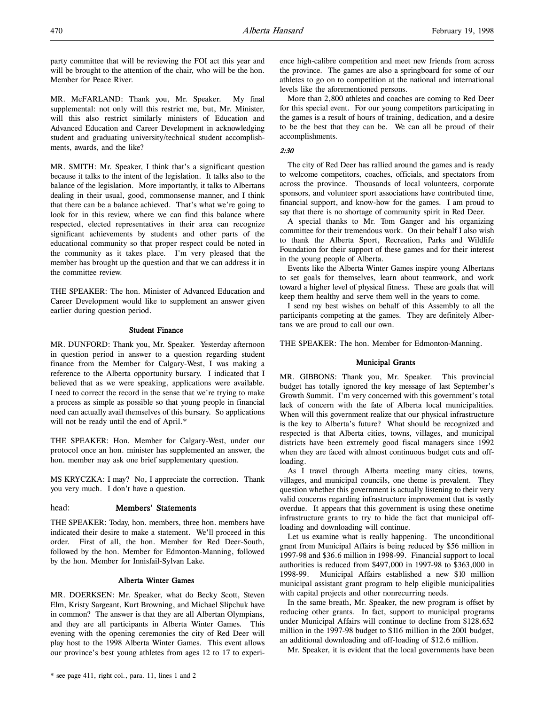party committee that will be reviewing the FOI act this year and will be brought to the attention of the chair, who will be the hon. Member for Peace River.

MR. McFARLAND: Thank you, Mr. Speaker. My final supplemental: not only will this restrict me, but, Mr. Minister, will this also restrict similarly ministers of Education and Advanced Education and Career Development in acknowledging student and graduating university/technical student accomplishments, awards, and the like?

MR. SMITH: Mr. Speaker, I think that's a significant question because it talks to the intent of the legislation. It talks also to the balance of the legislation. More importantly, it talks to Albertans dealing in their usual, good, commonsense manner, and I think that there can be a balance achieved. That's what we're going to look for in this review, where we can find this balance where respected, elected representatives in their area can recognize significant achievements by students and other parts of the educational community so that proper respect could be noted in the community as it takes place. I'm very pleased that the member has brought up the question and that we can address it in the committee review.

THE SPEAKER: The hon. Minister of Advanced Education and Career Development would like to supplement an answer given earlier during question period.

#### Student Finance

MR. DUNFORD: Thank you, Mr. Speaker. Yesterday afternoon in question period in answer to a question regarding student finance from the Member for Calgary-West, I was making a reference to the Alberta opportunity bursary. I indicated that I believed that as we were speaking, applications were available. I need to correct the record in the sense that we're trying to make a process as simple as possible so that young people in financial need can actually avail themselves of this bursary. So applications will not be ready until the end of April.\*

THE SPEAKER: Hon. Member for Calgary-West, under our protocol once an hon. minister has supplemented an answer, the hon. member may ask one brief supplementary question.

MS KRYCZKA: I may? No, I appreciate the correction. Thank you very much. I don't have a question.

#### head: Members' Statements

THE SPEAKER: Today, hon. members, three hon. members have indicated their desire to make a statement. We'll proceed in this order. First of all, the hon. Member for Red Deer-South, followed by the hon. Member for Edmonton-Manning, followed by the hon. Member for Innisfail-Sylvan Lake.

#### Alberta Winter Games

MR. DOERKSEN: Mr. Speaker, what do Becky Scott, Steven Elm, Kristy Sargeant, Kurt Browning, and Michael Slipchuk have in common? The answer is that they are all Albertan Olympians, and they are all participants in Alberta Winter Games. This evening with the opening ceremonies the city of Red Deer will play host to the 1998 Alberta Winter Games. This event allows our province's best young athletes from ages 12 to 17 to experience high-calibre competition and meet new friends from across the province. The games are also a springboard for some of our athletes to go on to competition at the national and international levels like the aforementioned persons.

More than 2,800 athletes and coaches are coming to Red Deer for this special event. For our young competitors participating in the games is a result of hours of training, dedication, and a desire to be the best that they can be. We can all be proud of their accomplishments.

#### 2:30

The city of Red Deer has rallied around the games and is ready to welcome competitors, coaches, officials, and spectators from across the province. Thousands of local volunteers, corporate sponsors, and volunteer sport associations have contributed time, financial support, and know-how for the games. I am proud to say that there is no shortage of community spirit in Red Deer.

A special thanks to Mr. Tom Ganger and his organizing committee for their tremendous work. On their behalf I also wish to thank the Alberta Sport, Recreation, Parks and Wildlife Foundation for their support of these games and for their interest in the young people of Alberta.

Events like the Alberta Winter Games inspire young Albertans to set goals for themselves, learn about teamwork, and work toward a higher level of physical fitness. These are goals that will keep them healthy and serve them well in the years to come.

I send my best wishes on behalf of this Assembly to all the participants competing at the games. They are definitely Albertans we are proud to call our own.

THE SPEAKER: The hon. Member for Edmonton-Manning.

#### Municipal Grants

MR. GIBBONS: Thank you, Mr. Speaker. This provincial budget has totally ignored the key message of last September's Growth Summit. I'm very concerned with this government's total lack of concern with the fate of Alberta local municipalities. When will this government realize that our physical infrastructure is the key to Alberta's future? What should be recognized and respected is that Alberta cities, towns, villages, and municipal districts have been extremely good fiscal managers since 1992 when they are faced with almost continuous budget cuts and offloading.

As I travel through Alberta meeting many cities, towns, villages, and municipal councils, one theme is prevalent. They question whether this government is actually listening to their very valid concerns regarding infrastructure improvement that is vastly overdue. It appears that this government is using these onetime infrastructure grants to try to hide the fact that municipal offloading and downloading will continue.

Let us examine what is really happening. The unconditional grant from Municipal Affairs is being reduced by \$56 million in 1997-98 and \$36.6 million in 1998-99. Financial support to local authorities is reduced from \$497,000 in 1997-98 to \$363,000 in 1998-99. Municipal Affairs established a new \$10 million municipal assistant grant program to help eligible municipalities with capital projects and other nonrecurring needs.

In the same breath, Mr. Speaker, the new program is offset by reducing other grants. In fact, support to municipal programs under Municipal Affairs will continue to decline from \$128.652 million in the 1997-98 budget to \$116 million in the 2001 budget, an additional downloading and off-loading of \$12.6 million.

Mr. Speaker, it is evident that the local governments have been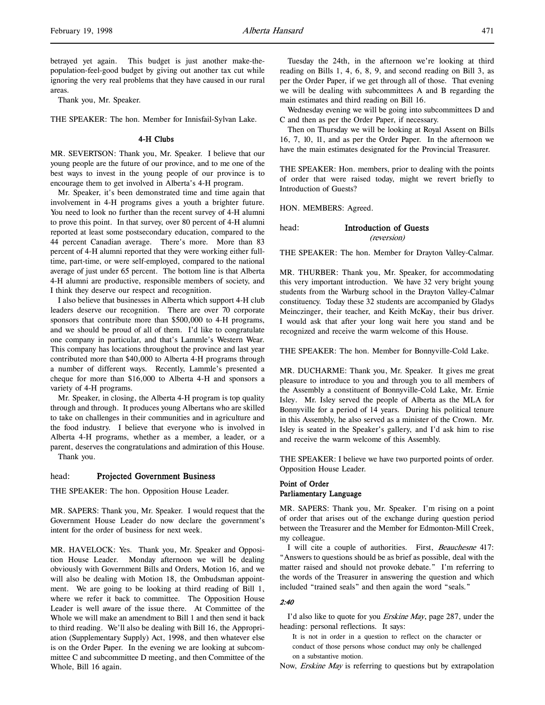betrayed yet again. This budget is just another make-thepopulation-feel-good budget by giving out another tax cut while ignoring the very real problems that they have caused in our rural areas.

Thank you, Mr. Speaker.

THE SPEAKER: The hon. Member for Innisfail-Sylvan Lake.

# 4-H Clubs

MR. SEVERTSON: Thank you, Mr. Speaker. I believe that our young people are the future of our province, and to me one of the best ways to invest in the young people of our province is to encourage them to get involved in Alberta's 4-H program.

Mr. Speaker, it's been demonstrated time and time again that involvement in 4-H programs gives a youth a brighter future. You need to look no further than the recent survey of 4-H alumni to prove this point. In that survey, over 80 percent of 4-H alumni reported at least some postsecondary education, compared to the 44 percent Canadian average. There's more. More than 83 percent of 4-H alumni reported that they were working either fulltime, part-time, or were self-employed, compared to the national average of just under 65 percent. The bottom line is that Alberta 4-H alumni are productive, responsible members of society, and I think they deserve our respect and recognition.

I also believe that businesses in Alberta which support 4-H club leaders deserve our recognition. There are over 70 corporate sponsors that contribute more than \$500,000 to 4-H programs, and we should be proud of all of them. I'd like to congratulate one company in particular, and that's Lammle's Western Wear. This company has locations throughout the province and last year contributed more than \$40,000 to Alberta 4-H programs through a number of different ways. Recently, Lammle's presented a cheque for more than \$16,000 to Alberta 4-H and sponsors a variety of 4-H programs.

Mr. Speaker, in closing, the Alberta 4-H program is top quality through and through. It produces young Albertans who are skilled to take on challenges in their communities and in agriculture and the food industry. I believe that everyone who is involved in Alberta 4-H programs, whether as a member, a leader, or a parent, deserves the congratulations and admiration of this House. Thank you.

#### head: Projected Government Business

THE SPEAKER: The hon. Opposition House Leader.

MR. SAPERS: Thank you, Mr. Speaker. I would request that the Government House Leader do now declare the government's intent for the order of business for next week.

MR. HAVELOCK: Yes. Thank you, Mr. Speaker and Opposition House Leader. Monday afternoon we will be dealing obviously with Government Bills and Orders, Motion 16, and we will also be dealing with Motion 18, the Ombudsman appointment. We are going to be looking at third reading of Bill 1, where we refer it back to committee. The Opposition House Leader is well aware of the issue there. At Committee of the Whole we will make an amendment to Bill 1 and then send it back to third reading. We'll also be dealing with Bill 16, the Appropriation (Supplementary Supply) Act, 1998, and then whatever else is on the Order Paper. In the evening we are looking at subcommittee C and subcommittee D meeting, and then Committee of the Whole, Bill 16 again.

Tuesday the 24th, in the afternoon we're looking at third reading on Bills 1, 4, 6, 8, 9, and second reading on Bill 3, as per the Order Paper, if we get through all of those. That evening we will be dealing with subcommittees A and B regarding the main estimates and third reading on Bill 16.

Wednesday evening we will be going into subcommittees D and C and then as per the Order Paper, if necessary.

Then on Thursday we will be looking at Royal Assent on Bills 16, 7, 10, 11, and as per the Order Paper. In the afternoon we have the main estimates designated for the Provincial Treasurer.

THE SPEAKER: Hon. members, prior to dealing with the points of order that were raised today, might we revert briefly to Introduction of Guests?

HON. MEMBERS: Agreed.

#### head: Introduction of Guests (reversion)

THE SPEAKER: The hon. Member for Drayton Valley-Calmar.

MR. THURBER: Thank you, Mr. Speaker, for accommodating this very important introduction. We have 32 very bright young students from the Warburg school in the Drayton Valley-Calmar constituency. Today these 32 students are accompanied by Gladys Meinczinger, their teacher, and Keith McKay, their bus driver. I would ask that after your long wait here you stand and be recognized and receive the warm welcome of this House.

THE SPEAKER: The hon. Member for Bonnyville-Cold Lake.

MR. DUCHARME: Thank you, Mr. Speaker. It gives me great pleasure to introduce to you and through you to all members of the Assembly a constituent of Bonnyville-Cold Lake, Mr. Ernie Isley. Mr. Isley served the people of Alberta as the MLA for Bonnyville for a period of 14 years. During his political tenure in this Assembly, he also served as a minister of the Crown. Mr. Isley is seated in the Speaker's gallery, and I'd ask him to rise and receive the warm welcome of this Assembly.

THE SPEAKER: I believe we have two purported points of order. Opposition House Leader.

# Point of Order Parliamentary Language

MR. SAPERS: Thank you, Mr. Speaker. I'm rising on a point of order that arises out of the exchange during question period between the Treasurer and the Member for Edmonton-Mill Creek, my colleague.

I will cite a couple of authorities. First, Beauchesne 417: "Answers to questions should be as brief as possible, deal with the matter raised and should not provoke debate." I'm referring to the words of the Treasurer in answering the question and which included "trained seals" and then again the word "seals."

#### 2:40

I'd also like to quote for you Erskine May, page 287, under the heading: personal reflections. It says:

It is not in order in a question to reflect on the character or conduct of those persons whose conduct may only be challenged on a substantive motion.

Now, Erskine May is referring to questions but by extrapolation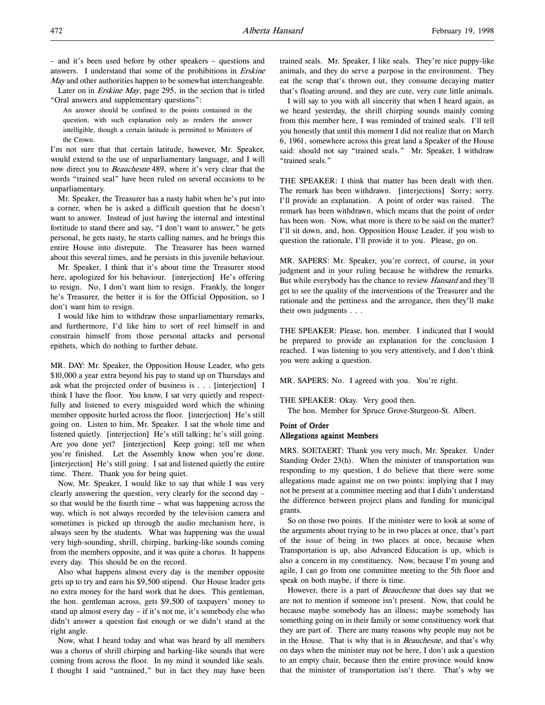– and it's been used before by other speakers – questions and answers. I understand that some of the prohibitions in Erskine May and other authorities happen to be somewhat interchangeable.

Later on in Erskine May, page 295, in the section that is titled "Oral answers and supplementary questions":

An answer should be confined to the points contained in the question, with such explanation only as renders the answer intelligible, though a certain latitude is permitted to Ministers of the Crown.

I'm not sure that that certain latitude, however, Mr. Speaker, would extend to the use of unparliamentary language, and I will now direct you to Beauchesne 489, where it's very clear that the words "trained seal" have been ruled on several occasions to be unparliamentary.

Mr. Speaker, the Treasurer has a nasty habit when he's put into a corner, when he is asked a difficult question that he doesn't want to answer. Instead of just having the internal and intestinal fortitude to stand there and say, "I don't want to answer," he gets personal, he gets nasty, he starts calling names, and he brings this entire House into disrepute. The Treasurer has been warned about this several times, and he persists in this juvenile behaviour.

Mr. Speaker, I think that it's about time the Treasurer stood here, apologized for his behaviour. [interjection] He's offering to resign. No, I don't want him to resign. Frankly, the longer he's Treasurer, the better it is for the Official Opposition, so I don't want him to resign.

I would like him to withdraw those unparliamentary remarks, and furthermore, I'd like him to sort of reel himself in and constrain himself from those personal attacks and personal epithets, which do nothing to further debate.

MR. DAY: Mr. Speaker, the Opposition House Leader, who gets \$10,000 a year extra beyond his pay to stand up on Thursdays and ask what the projected order of business is . . . [interjection] I think I have the floor. You know, I sat very quietly and respectfully and listened to every misguided word which the whining member opposite hurled across the floor. [interjection] He's still going on. Listen to him, Mr. Speaker. I sat the whole time and listened quietly. [interjection] He's still talking; he's still going. Are you done yet? [interjection] Keep going; tell me when you're finished. Let the Assembly know when you're done. [interjection] He's still going. I sat and listened quietly the entire time. There. Thank you for being quiet.

Now, Mr. Speaker, I would like to say that while I was very clearly answering the question, very clearly for the second day – so that would be the fourth time – what was happening across the way, which is not always recorded by the television camera and sometimes is picked up through the audio mechanism here, is always seen by the students. What was happening was the usual very high-sounding, shrill, chirping, barking-like sounds coming from the members opposite, and it was quite a chorus. It happens every day. This should be on the record.

Also what happens almost every day is the member opposite gets up to try and earn his \$9,500 stipend. Our House leader gets no extra money for the hard work that he does. This gentleman, the hon. gentleman across, gets \$9,500 of taxpayers' money to stand up almost every day – if it's not me, it's somebody else who didn't answer a question fast enough or we didn't stand at the right angle.

Now, what I heard today and what was heard by all members was a chorus of shrill chirping and barking-like sounds that were coming from across the floor. In my mind it sounded like seals. I thought I said "untrained," but in fact they may have been trained seals. Mr. Speaker, I like seals. They're nice puppy-like animals, and they do serve a purpose in the environment. They eat the scrap that's thrown out, they consume decaying matter that's floating around, and they are cute, very cute little animals.

I will say to you with all sincerity that when I heard again, as we heard yesterday, the shrill chirping sounds mainly coming from this member here, I was reminded of trained seals. I'll tell you honestly that until this moment I did not realize that on March 6, 1961, somewhere across this great land a Speaker of the House said: should not say "trained seals." Mr. Speaker, I withdraw "trained seals."

THE SPEAKER: I think that matter has been dealt with then. The remark has been withdrawn. [interjections] Sorry; sorry. I'll provide an explanation. A point of order was raised. The remark has been withdrawn, which means that the point of order has been won. Now, what more is there to be said on the matter? I'll sit down, and, hon. Opposition House Leader, if you wish to question the rationale, I'll provide it to you. Please, go on.

MR. SAPERS: Mr. Speaker, you're correct, of course, in your judgment and in your ruling because he withdrew the remarks. But while everybody has the chance to review Hansard and they'll get to see the quality of the interventions of the Treasurer and the rationale and the pettiness and the arrogance, then they'll make their own judgments . . .

THE SPEAKER: Please, hon. member. I indicated that I would be prepared to provide an explanation for the conclusion I reached. I was listening to you very attentively, and I don't think you were asking a question.

MR. SAPERS: No. I agreed with you. You're right.

THE SPEAKER: Okay. Very good then.

The hon. Member for Spruce Grove-Sturgeon-St. Albert.

# Point of Order

# Allegations against Members

MRS. SOETAERT: Thank you very much, Mr. Speaker. Under Standing Order 23(h). When the minister of transportation was responding to my question, I do believe that there were some allegations made against me on two points: implying that I may not be present at a committee meeting and that I didn't understand the difference between project plans and funding for municipal grants.

So on those two points. If the minister were to look at some of the arguments about trying to be in two places at once, that's part of the issue of being in two places at once, because when Transportation is up, also Advanced Education is up, which is also a concern in my constituency. Now, because I'm young and agile, I can go from one committee meeting to the 5th floor and speak on both maybe, if there is time.

However, there is a part of *Beauchesne* that does say that we are not to mention if someone isn't present. Now, that could be because maybe somebody has an illness; maybe somebody has something going on in their family or some constituency work that they are part of. There are many reasons why people may not be in the House. That is why that is in Beauchesne, and that's why on days when the minister may not be here, I don't ask a question to an empty chair, because then the entire province would know that the minister of transportation isn't there. That's why we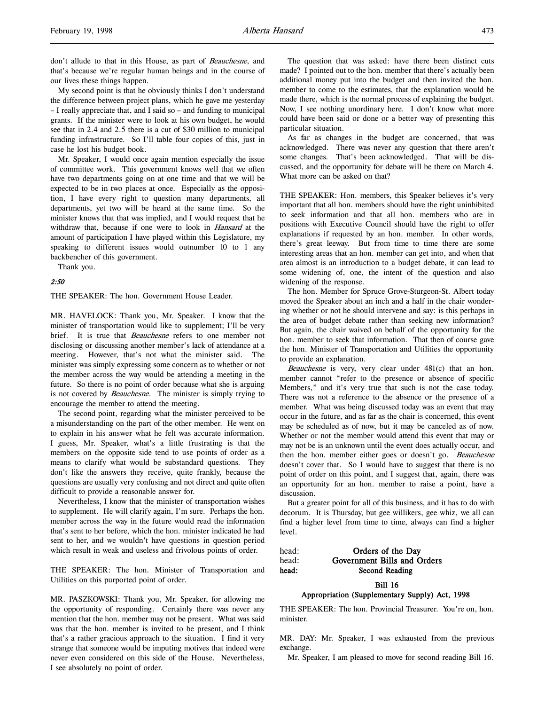don't allude to that in this House, as part of Beauchesne, and that's because we're regular human beings and in the course of our lives these things happen.

My second point is that he obviously thinks I don't understand the difference between project plans, which he gave me yesterday – I really appreciate that, and I said so – and funding to municipal grants. If the minister were to look at his own budget, he would see that in 2.4 and 2.5 there is a cut of \$30 million to municipal funding infrastructure. So I'll table four copies of this, just in case he lost his budget book.

Mr. Speaker, I would once again mention especially the issue of committee work. This government knows well that we often have two departments going on at one time and that we will be expected to be in two places at once. Especially as the opposition, I have every right to question many departments, all departments, yet two will be heard at the same time. So the minister knows that that was implied, and I would request that he withdraw that, because if one were to look in Hansard at the amount of participation I have played within this Legislature, my speaking to different issues would outnumber 10 to 1 any backbencher of this government.

Thank you.

#### 2:50

THE SPEAKER: The hon. Government House Leader.

MR. HAVELOCK: Thank you, Mr. Speaker. I know that the minister of transportation would like to supplement; I'll be very brief. It is true that *Beauchesne* refers to one member not disclosing or discussing another member's lack of attendance at a meeting. However, that's not what the minister said. The minister was simply expressing some concern as to whether or not the member across the way would be attending a meeting in the future. So there is no point of order because what she is arguing is not covered by *Beauchesne*. The minister is simply trying to encourage the member to attend the meeting.

The second point, regarding what the minister perceived to be a misunderstanding on the part of the other member. He went on to explain in his answer what he felt was accurate information. I guess, Mr. Speaker, what's a little frustrating is that the members on the opposite side tend to use points of order as a means to clarify what would be substandard questions. They don't like the answers they receive, quite frankly, because the questions are usually very confusing and not direct and quite often difficult to provide a reasonable answer for.

Nevertheless, I know that the minister of transportation wishes to supplement. He will clarify again, I'm sure. Perhaps the hon. member across the way in the future would read the information that's sent to her before, which the hon. minister indicated he had sent to her, and we wouldn't have questions in question period which result in weak and useless and frivolous points of order.

THE SPEAKER: The hon. Minister of Transportation and Utilities on this purported point of order.

MR. PASZKOWSKI: Thank you, Mr. Speaker, for allowing me the opportunity of responding. Certainly there was never any mention that the hon. member may not be present. What was said was that the hon. member is invited to be present, and I think that's a rather gracious approach to the situation. I find it very strange that someone would be imputing motives that indeed were never even considered on this side of the House. Nevertheless, I see absolutely no point of order.

The question that was asked: have there been distinct cuts made? I pointed out to the hon. member that there's actually been additional money put into the budget and then invited the hon. member to come to the estimates, that the explanation would be made there, which is the normal process of explaining the budget. Now, I see nothing unordinary here. I don't know what more could have been said or done or a better way of presenting this particular situation.

As far as changes in the budget are concerned, that was acknowledged. There was never any question that there aren't some changes. That's been acknowledged. That will be discussed, and the opportunity for debate will be there on March 4. What more can be asked on that?

THE SPEAKER: Hon. members, this Speaker believes it's very important that all hon. members should have the right uninhibited to seek information and that all hon. members who are in positions with Executive Council should have the right to offer explanations if requested by an hon. member. In other words, there's great leeway. But from time to time there are some interesting areas that an hon. member can get into, and when that area almost is an introduction to a budget debate, it can lead to some widening of, one, the intent of the question and also widening of the response.

The hon. Member for Spruce Grove-Sturgeon-St. Albert today moved the Speaker about an inch and a half in the chair wondering whether or not he should intervene and say: is this perhaps in the area of budget debate rather than seeking new information? But again, the chair waived on behalf of the opportunity for the hon. member to seek that information. That then of course gave the hon. Minister of Transportation and Utilities the opportunity to provide an explanation.

Beauchesne is very, very clear under 481(c) that an hon. member cannot "refer to the presence or absence of specific Members," and it's very true that such is not the case today. There was not a reference to the absence or the presence of a member. What was being discussed today was an event that may occur in the future, and as far as the chair is concerned, this event may be scheduled as of now, but it may be canceled as of now. Whether or not the member would attend this event that may or may not be is an unknown until the event does actually occur, and then the hon. member either goes or doesn't go. Beauchesne doesn't cover that. So I would have to suggest that there is no point of order on this point, and I suggest that, again, there was an opportunity for an hon. member to raise a point, have a discussion.

But a greater point for all of this business, and it has to do with decorum. It is Thursday, but gee willikers, gee whiz, we all can find a higher level from time to time, always can find a higher level.

# head: **Orders of the Day** head: Government Bills and Orders head: Second Reading

#### Bill 16 Appropriation (Supplementary Supply) Act, 1998

THE SPEAKER: The hon. Provincial Treasurer. You're on, hon. minister.

MR. DAY: Mr. Speaker, I was exhausted from the previous exchange.

Mr. Speaker, I am pleased to move for second reading Bill 16.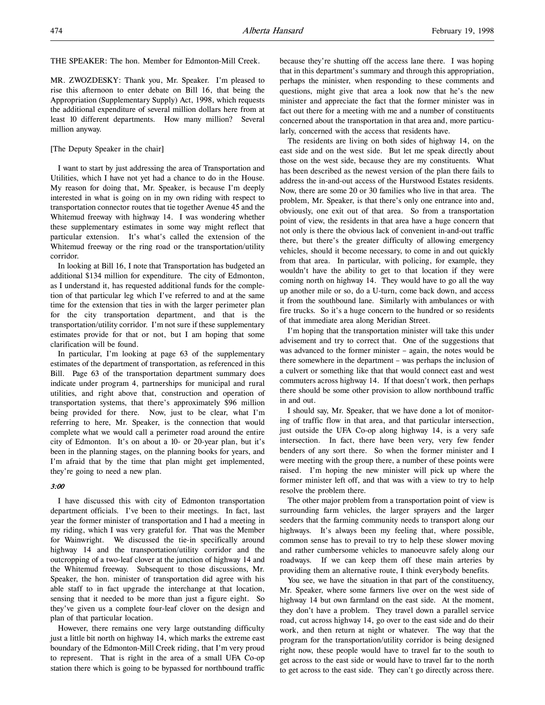THE SPEAKER: The hon. Member for Edmonton-Mill Creek.

MR. ZWOZDESKY: Thank you, Mr. Speaker. I'm pleased to rise this afternoon to enter debate on Bill 16, that being the Appropriation (Supplementary Supply) Act, 1998, which requests the additional expenditure of several million dollars here from at least 10 different departments. How many million? Several million anyway.

#### [The Deputy Speaker in the chair]

I want to start by just addressing the area of Transportation and Utilities, which I have not yet had a chance to do in the House. My reason for doing that, Mr. Speaker, is because I'm deeply interested in what is going on in my own riding with respect to transportation connector routes that tie together Avenue 45 and the Whitemud freeway with highway 14. I was wondering whether these supplementary estimates in some way might reflect that particular extension. It's what's called the extension of the Whitemud freeway or the ring road or the transportation/utility corridor.

In looking at Bill 16, I note that Transportation has budgeted an additional \$134 million for expenditure. The city of Edmonton, as I understand it, has requested additional funds for the completion of that particular leg which I've referred to and at the same time for the extension that ties in with the larger perimeter plan for the city transportation department, and that is the transportation/utility corridor. I'm not sure if these supplementary estimates provide for that or not, but I am hoping that some clarification will be found.

In particular, I'm looking at page 63 of the supplementary estimates of the department of transportation, as referenced in this Bill. Page 63 of the transportation department summary does indicate under program 4, partnerships for municipal and rural utilities, and right above that, construction and operation of transportation systems, that there's approximately \$96 million being provided for there. Now, just to be clear, what I'm referring to here, Mr. Speaker, is the connection that would complete what we would call a perimeter road around the entire city of Edmonton. It's on about a 10- or 20-year plan, but it's been in the planning stages, on the planning books for years, and I'm afraid that by the time that plan might get implemented, they're going to need a new plan.

#### 3:00

I have discussed this with city of Edmonton transportation department officials. I've been to their meetings. In fact, last year the former minister of transportation and I had a meeting in my riding, which I was very grateful for. That was the Member for Wainwright. We discussed the tie-in specifically around highway 14 and the transportation/utility corridor and the outcropping of a two-leaf clover at the junction of highway 14 and the Whitemud freeway. Subsequent to those discussions, Mr. Speaker, the hon. minister of transportation did agree with his able staff to in fact upgrade the interchange at that location, sensing that it needed to be more than just a figure eight. So they've given us a complete four-leaf clover on the design and plan of that particular location.

However, there remains one very large outstanding difficulty just a little bit north on highway 14, which marks the extreme east boundary of the Edmonton-Mill Creek riding, that I'm very proud to represent. That is right in the area of a small UFA Co-op station there which is going to be bypassed for northbound traffic

because they're shutting off the access lane there. I was hoping that in this department's summary and through this appropriation, perhaps the minister, when responding to these comments and questions, might give that area a look now that he's the new minister and appreciate the fact that the former minister was in fact out there for a meeting with me and a number of constituents concerned about the transportation in that area and, more particularly, concerned with the access that residents have.

The residents are living on both sides of highway 14, on the east side and on the west side. But let me speak directly about those on the west side, because they are my constituents. What has been described as the newest version of the plan there fails to address the in-and-out access of the Hurstwood Estates residents. Now, there are some 20 or 30 families who live in that area. The problem, Mr. Speaker, is that there's only one entrance into and, obviously, one exit out of that area. So from a transportation point of view, the residents in that area have a huge concern that not only is there the obvious lack of convenient in-and-out traffic there, but there's the greater difficulty of allowing emergency vehicles, should it become necessary, to come in and out quickly from that area. In particular, with policing, for example, they wouldn't have the ability to get to that location if they were coming north on highway 14. They would have to go all the way up another mile or so, do a U-turn, come back down, and access it from the southbound lane. Similarly with ambulances or with fire trucks. So it's a huge concern to the hundred or so residents of that immediate area along Meridian Street.

I'm hoping that the transportation minister will take this under advisement and try to correct that. One of the suggestions that was advanced to the former minister – again, the notes would be there somewhere in the department – was perhaps the inclusion of a culvert or something like that that would connect east and west commuters across highway 14. If that doesn't work, then perhaps there should be some other provision to allow northbound traffic in and out.

I should say, Mr. Speaker, that we have done a lot of monitoring of traffic flow in that area, and that particular intersection, just outside the UFA Co-op along highway 14, is a very safe intersection. In fact, there have been very, very few fender benders of any sort there. So when the former minister and I were meeting with the group there, a number of these points were raised. I'm hoping the new minister will pick up where the former minister left off, and that was with a view to try to help resolve the problem there.

The other major problem from a transportation point of view is surrounding farm vehicles, the larger sprayers and the larger seeders that the farming community needs to transport along our highways. It's always been my feeling that, where possible, common sense has to prevail to try to help these slower moving and rather cumbersome vehicles to manoeuvre safely along our roadways. If we can keep them off these main arteries by providing them an alternative route, I think everybody benefits.

You see, we have the situation in that part of the constituency, Mr. Speaker, where some farmers live over on the west side of highway 14 but own farmland on the east side. At the moment, they don't have a problem. They travel down a parallel service road, cut across highway 14, go over to the east side and do their work, and then return at night or whatever. The way that the program for the transportation/utility corridor is being designed right now, these people would have to travel far to the south to get across to the east side or would have to travel far to the north to get across to the east side. They can't go directly across there.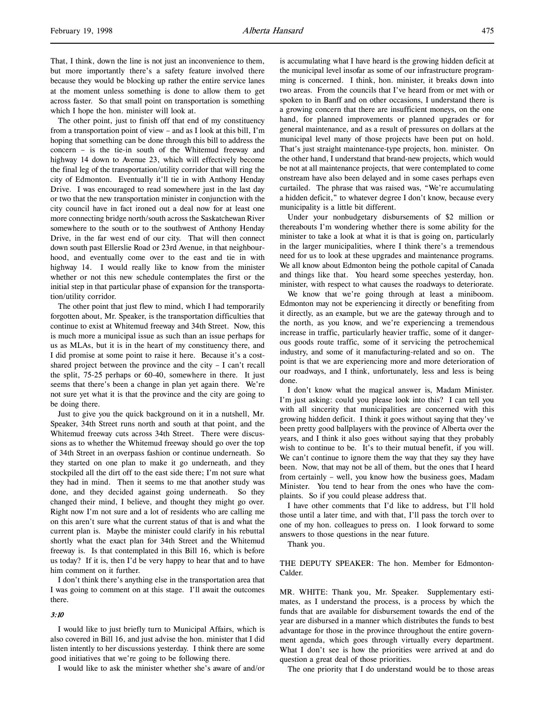That, I think, down the line is not just an inconvenience to them, but more importantly there's a safety feature involved there because they would be blocking up rather the entire service lanes at the moment unless something is done to allow them to get across faster. So that small point on transportation is something which I hope the hon. minister will look at.

The other point, just to finish off that end of my constituency from a transportation point of view – and as I look at this bill, I'm hoping that something can be done through this bill to address the concern – is the tie-in south of the Whitemud freeway and highway 14 down to Avenue 23, which will effectively become the final leg of the transportation/utility corridor that will ring the city of Edmonton. Eventually it'll tie in with Anthony Henday Drive. I was encouraged to read somewhere just in the last day or two that the new transportation minister in conjunction with the city council have in fact ironed out a deal now for at least one more connecting bridge north/south across the Saskatchewan River somewhere to the south or to the southwest of Anthony Henday Drive, in the far west end of our city. That will then connect down south past Ellerslie Road or 23rd Avenue, in that neighbourhood, and eventually come over to the east and tie in with highway 14. I would really like to know from the minister whether or not this new schedule contemplates the first or the initial step in that particular phase of expansion for the transportation/utility corridor.

The other point that just flew to mind, which I had temporarily forgotten about, Mr. Speaker, is the transportation difficulties that continue to exist at Whitemud freeway and 34th Street. Now, this is much more a municipal issue as such than an issue perhaps for us as MLAs, but it is in the heart of my constituency there, and I did promise at some point to raise it here. Because it's a costshared project between the province and the city – I can't recall the split, 75-25 perhaps or 60-40, somewhere in there. It just seems that there's been a change in plan yet again there. We're not sure yet what it is that the province and the city are going to be doing there.

Just to give you the quick background on it in a nutshell, Mr. Speaker, 34th Street runs north and south at that point, and the Whitemud freeway cuts across 34th Street. There were discussions as to whether the Whitemud freeway should go over the top of 34th Street in an overpass fashion or continue underneath. So they started on one plan to make it go underneath, and they stockpiled all the dirt off to the east side there; I'm not sure what they had in mind. Then it seems to me that another study was done, and they decided against going underneath. So they changed their mind, I believe, and thought they might go over. Right now I'm not sure and a lot of residents who are calling me on this aren't sure what the current status of that is and what the current plan is. Maybe the minister could clarify in his rebuttal shortly what the exact plan for 34th Street and the Whitemud freeway is. Is that contemplated in this Bill 16, which is before us today? If it is, then I'd be very happy to hear that and to have him comment on it further.

I don't think there's anything else in the transportation area that I was going to comment on at this stage. I'll await the outcomes there.

#### 3:10

I would like to just briefly turn to Municipal Affairs, which is also covered in Bill 16, and just advise the hon. minister that I did listen intently to her discussions yesterday. I think there are some good initiatives that we're going to be following there.

I would like to ask the minister whether she's aware of and/or

is accumulating what I have heard is the growing hidden deficit at the municipal level insofar as some of our infrastructure programming is concerned. I think, hon. minister, it breaks down into two areas. From the councils that I've heard from or met with or spoken to in Banff and on other occasions, I understand there is a growing concern that there are insufficient moneys, on the one hand, for planned improvements or planned upgrades or for general maintenance, and as a result of pressures on dollars at the municipal level many of those projects have been put on hold. That's just straight maintenance-type projects, hon. minister. On the other hand, I understand that brand-new projects, which would be not at all maintenance projects, that were contemplated to come onstream have also been delayed and in some cases perhaps even curtailed. The phrase that was raised was, "We're accumulating a hidden deficit," to whatever degree I don't know, because every municipality is a little bit different.

Under your nonbudgetary disbursements of \$2 million or thereabouts I'm wondering whether there is some ability for the minister to take a look at what it is that is going on, particularly in the larger municipalities, where I think there's a tremendous need for us to look at these upgrades and maintenance programs. We all know about Edmonton being the pothole capital of Canada and things like that. You heard some speeches yesterday, hon. minister, with respect to what causes the roadways to deteriorate.

We know that we're going through at least a miniboom. Edmonton may not be experiencing it directly or benefiting from it directly, as an example, but we are the gateway through and to the north, as you know, and we're experiencing a tremendous increase in traffic, particularly heavier traffic, some of it dangerous goods route traffic, some of it servicing the petrochemical industry, and some of it manufacturing-related and so on. The point is that we are experiencing more and more deterioration of our roadways, and I think, unfortunately, less and less is being done.

I don't know what the magical answer is, Madam Minister. I'm just asking: could you please look into this? I can tell you with all sincerity that municipalities are concerned with this growing hidden deficit. I think it goes without saying that they've been pretty good ballplayers with the province of Alberta over the years, and I think it also goes without saying that they probably wish to continue to be. It's to their mutual benefit, if you will. We can't continue to ignore them the way that they say they have been. Now, that may not be all of them, but the ones that I heard from certainly – well, you know how the business goes, Madam Minister. You tend to hear from the ones who have the complaints. So if you could please address that.

I have other comments that I'd like to address, but I'll hold those until a later time, and with that, I'll pass the torch over to one of my hon. colleagues to press on. I look forward to some answers to those questions in the near future.

Thank you.

THE DEPUTY SPEAKER: The hon. Member for Edmonton-Calder.

MR. WHITE: Thank you, Mr. Speaker. Supplementary estimates, as I understand the process, is a process by which the funds that are available for disbursement towards the end of the year are disbursed in a manner which distributes the funds to best advantage for those in the province throughout the entire government agenda, which goes through virtually every department. What I don't see is how the priorities were arrived at and do question a great deal of those priorities.

The one priority that I do understand would be to those areas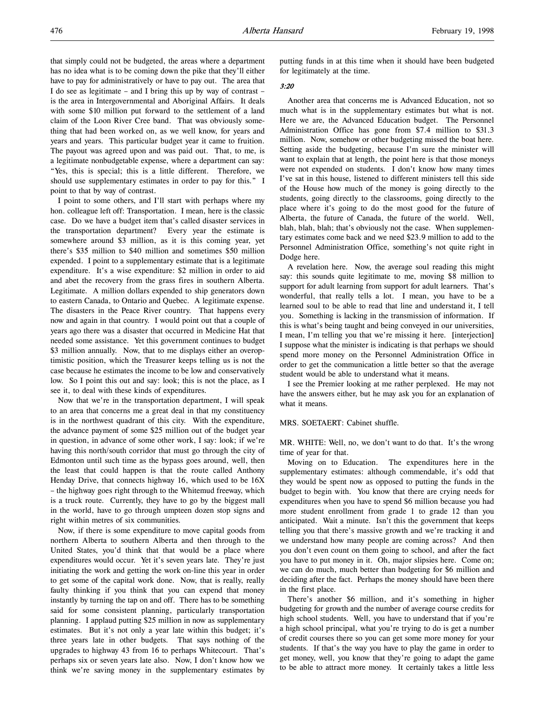that simply could not be budgeted, the areas where a department has no idea what is to be coming down the pike that they'll either have to pay for administratively or have to pay out. The area that I do see as legitimate – and I bring this up by way of contrast – is the area in Intergovernmental and Aboriginal Affairs. It deals with some \$10 million put forward to the settlement of a land claim of the Loon River Cree band. That was obviously something that had been worked on, as we well know, for years and years and years. This particular budget year it came to fruition. The payout was agreed upon and was paid out. That, to me, is a legitimate nonbudgetable expense, where a department can say: "Yes, this is special; this is a little different. Therefore, we should use supplementary estimates in order to pay for this." I point to that by way of contrast.

I point to some others, and I'll start with perhaps where my hon. colleague left off: Transportation. I mean, here is the classic case. Do we have a budget item that's called disaster services in the transportation department? Every year the estimate is somewhere around \$3 million, as it is this coming year, yet there's \$35 million to \$40 million and sometimes \$50 million expended. I point to a supplementary estimate that is a legitimate expenditure. It's a wise expenditure: \$2 million in order to aid and abet the recovery from the grass fires in southern Alberta. Legitimate. A million dollars expended to ship generators down to eastern Canada, to Ontario and Quebec. A legitimate expense. The disasters in the Peace River country. That happens every now and again in that country. I would point out that a couple of years ago there was a disaster that occurred in Medicine Hat that needed some assistance. Yet this government continues to budget \$3 million annually. Now, that to me displays either an overoptimistic position, which the Treasurer keeps telling us is not the case because he estimates the income to be low and conservatively low. So I point this out and say: look; this is not the place, as I see it, to deal with these kinds of expenditures.

Now that we're in the transportation department, I will speak to an area that concerns me a great deal in that my constituency is in the northwest quadrant of this city. With the expenditure, the advance payment of some \$25 million out of the budget year in question, in advance of some other work, I say: look; if we're having this north/south corridor that must go through the city of Edmonton until such time as the bypass goes around, well, then the least that could happen is that the route called Anthony Henday Drive, that connects highway 16, which used to be 16X – the highway goes right through to the Whitemud freeway, which is a truck route. Currently, they have to go by the biggest mall in the world, have to go through umpteen dozen stop signs and right within metres of six communities.

Now, if there is some expenditure to move capital goods from northern Alberta to southern Alberta and then through to the United States, you'd think that that would be a place where expenditures would occur. Yet it's seven years late. They're just initiating the work and getting the work on-line this year in order to get some of the capital work done. Now, that is really, really faulty thinking if you think that you can expend that money instantly by turning the tap on and off. There has to be something said for some consistent planning, particularly transportation planning. I applaud putting \$25 million in now as supplementary estimates. But it's not only a year late within this budget; it's three years late in other budgets. That says nothing of the upgrades to highway 43 from 16 to perhaps Whitecourt. That's perhaps six or seven years late also. Now, I don't know how we think we're saving money in the supplementary estimates by putting funds in at this time when it should have been budgeted for legitimately at the time.

#### 3:20

Another area that concerns me is Advanced Education, not so much what is in the supplementary estimates but what is not. Here we are, the Advanced Education budget. The Personnel Administration Office has gone from \$7.4 million to \$31.3 million. Now, somehow or other budgeting missed the boat here. Setting aside the budgeting, because I'm sure the minister will want to explain that at length, the point here is that those moneys were not expended on students. I don't know how many times I've sat in this house, listened to different ministers tell this side of the House how much of the money is going directly to the students, going directly to the classrooms, going directly to the place where it's going to do the most good for the future of Alberta, the future of Canada, the future of the world. Well, blah, blah, blah; that's obviously not the case. When supplementary estimates come back and we need \$23.9 million to add to the Personnel Administration Office, something's not quite right in Dodge here.

A revelation here. Now, the average soul reading this might say: this sounds quite legitimate to me, moving \$8 million to support for adult learning from support for adult learners. That's wonderful, that really tells a lot. I mean, you have to be a learned soul to be able to read that line and understand it, I tell you. Something is lacking in the transmission of information. If this is what's being taught and being conveyed in our universities, I mean, I'm telling you that we're missing it here. [interjection] I suppose what the minister is indicating is that perhaps we should spend more money on the Personnel Administration Office in order to get the communication a little better so that the average student would be able to understand what it means.

I see the Premier looking at me rather perplexed. He may not have the answers either, but he may ask you for an explanation of what it means.

#### MRS. SOETAERT: Cabinet shuffle.

MR. WHITE: Well, no, we don't want to do that. It's the wrong time of year for that.

Moving on to Education. The expenditures here in the supplementary estimates: although commendable, it's odd that they would be spent now as opposed to putting the funds in the budget to begin with. You know that there are crying needs for expenditures when you have to spend \$6 million because you had more student enrollment from grade 1 to grade 12 than you anticipated. Wait a minute. Isn't this the government that keeps telling you that there's massive growth and we're tracking it and we understand how many people are coming across? And then you don't even count on them going to school, and after the fact you have to put money in it. Oh, major slipsies here. Come on; we can do much, much better than budgeting for \$6 million and deciding after the fact. Perhaps the money should have been there in the first place.

There's another \$6 million, and it's something in higher budgeting for growth and the number of average course credits for high school students. Well, you have to understand that if you're a high school principal, what you're trying to do is get a number of credit courses there so you can get some more money for your students. If that's the way you have to play the game in order to get money, well, you know that they're going to adapt the game to be able to attract more money. It certainly takes a little less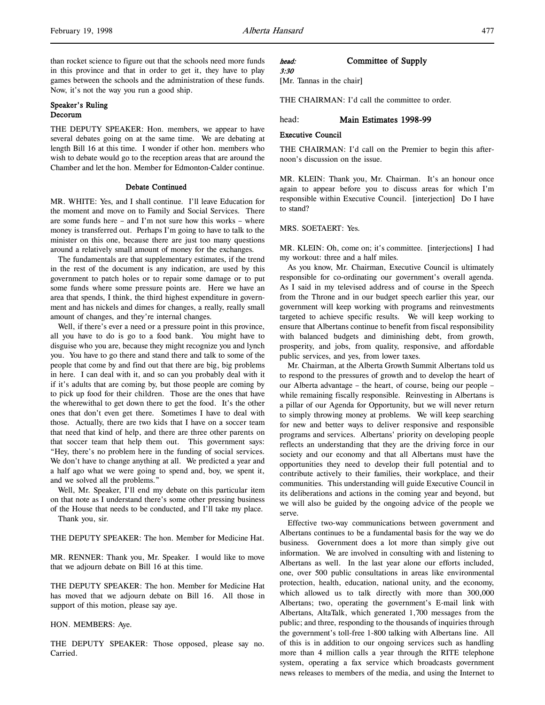than rocket science to figure out that the schools need more funds in this province and that in order to get it, they have to play games between the schools and the administration of these funds. Now, it's not the way you run a good ship.

#### Speaker's Ruling Decorum

THE DEPUTY SPEAKER: Hon. members, we appear to have several debates going on at the same time. We are debating at length Bill 16 at this time. I wonder if other hon. members who wish to debate would go to the reception areas that are around the Chamber and let the hon. Member for Edmonton-Calder continue.

#### Debate Continued

MR. WHITE: Yes, and I shall continue. I'll leave Education for the moment and move on to Family and Social Services. There are some funds here – and I'm not sure how this works – where money is transferred out. Perhaps I'm going to have to talk to the minister on this one, because there are just too many questions around a relatively small amount of money for the exchanges.

The fundamentals are that supplementary estimates, if the trend in the rest of the document is any indication, are used by this government to patch holes or to repair some damage or to put some funds where some pressure points are. Here we have an area that spends, I think, the third highest expenditure in government and has nickels and dimes for changes, a really, really small amount of changes, and they're internal changes.

Well, if there's ever a need or a pressure point in this province, all you have to do is go to a food bank. You might have to disguise who you are, because they might recognize you and lynch you. You have to go there and stand there and talk to some of the people that come by and find out that there are big, big problems in here. I can deal with it, and so can you probably deal with it if it's adults that are coming by, but those people are coming by to pick up food for their children. Those are the ones that have the wherewithal to get down there to get the food. It's the other ones that don't even get there. Sometimes I have to deal with those. Actually, there are two kids that I have on a soccer team that need that kind of help, and there are three other parents on that soccer team that help them out. This government says: "Hey, there's no problem here in the funding of social services. We don't have to change anything at all. We predicted a year and a half ago what we were going to spend and, boy, we spent it, and we solved all the problems."

Well, Mr. Speaker, I'll end my debate on this particular item on that note as I understand there's some other pressing business of the House that needs to be conducted, and I'll take my place. Thank you, sir.

THE DEPUTY SPEAKER: The hon. Member for Medicine Hat.

MR. RENNER: Thank you, Mr. Speaker. I would like to move that we adjourn debate on Bill 16 at this time.

THE DEPUTY SPEAKER: The hon. Member for Medicine Hat has moved that we adjourn debate on Bill 16. All those in support of this motion, please say aye.

#### HON. MEMBERS: Aye.

THE DEPUTY SPEAKER: Those opposed, please say no. Carried.

#### head: Committee of Supply 3:30

[Mr. Tannas in the chair]

THE CHAIRMAN: I'd call the committee to order.

#### head: Main Estimates 1998-99

# Executive Council

THE CHAIRMAN: I'd call on the Premier to begin this afternoon's discussion on the issue.

MR. KLEIN: Thank you, Mr. Chairman. It's an honour once again to appear before you to discuss areas for which I'm responsible within Executive Council. [interjection] Do I have to stand?

#### MRS. SOETAERT: Yes.

MR. KLEIN: Oh, come on; it's committee. [interjections] I had my workout: three and a half miles.

As you know, Mr. Chairman, Executive Council is ultimately responsible for co-ordinating our government's overall agenda. As I said in my televised address and of course in the Speech from the Throne and in our budget speech earlier this year, our government will keep working with programs and reinvestments targeted to achieve specific results. We will keep working to ensure that Albertans continue to benefit from fiscal responsibility with balanced budgets and diminishing debt, from growth, prosperity, and jobs, from quality, responsive, and affordable public services, and yes, from lower taxes.

Mr. Chairman, at the Alberta Growth Summit Albertans told us to respond to the pressures of growth and to develop the heart of our Alberta advantage – the heart, of course, being our people – while remaining fiscally responsible. Reinvesting in Albertans is a pillar of our Agenda for Opportunity, but we will never return to simply throwing money at problems. We will keep searching for new and better ways to deliver responsive and responsible programs and services. Albertans' priority on developing people reflects an understanding that they are the driving force in our society and our economy and that all Albertans must have the opportunities they need to develop their full potential and to contribute actively to their families, their workplace, and their communities. This understanding will guide Executive Council in its deliberations and actions in the coming year and beyond, but we will also be guided by the ongoing advice of the people we serve.

Effective two-way communications between government and Albertans continues to be a fundamental basis for the way we do business. Government does a lot more than simply give out information. We are involved in consulting with and listening to Albertans as well. In the last year alone our efforts included, one, over 500 public consultations in areas like environmental protection, health, education, national unity, and the economy, which allowed us to talk directly with more than 300,000 Albertans; two, operating the government's E-mail link with Albertans, AltaTalk, which generated 1,700 messages from the public; and three, responding to the thousands of inquiries through the government's toll-free 1-800 talking with Albertans line. All of this is in addition to our ongoing services such as handling more than 4 million calls a year through the RITE telephone system, operating a fax service which broadcasts government news releases to members of the media, and using the Internet to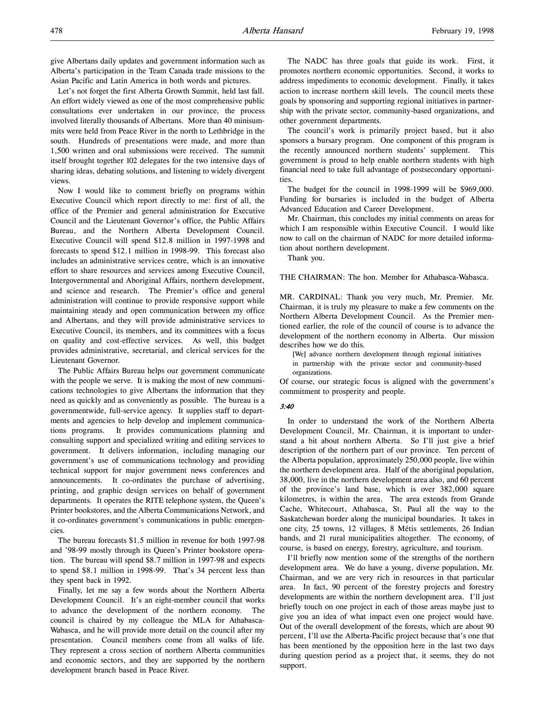give Albertans daily updates and government information such as Alberta's participation in the Team Canada trade missions to the Asian Pacific and Latin America in both words and pictures.

Let's not forget the first Alberta Growth Summit, held last fall. An effort widely viewed as one of the most comprehensive public consultations ever undertaken in our province, the process involved literally thousands of Albertans. More than 40 minisummits were held from Peace River in the north to Lethbridge in the south. Hundreds of presentations were made, and more than 1,500 written and oral submissions were received. The summit itself brought together 102 delegates for the two intensive days of sharing ideas, debating solutions, and listening to widely divergent views.

Now I would like to comment briefly on programs within Executive Council which report directly to me: first of all, the office of the Premier and general administration for Executive Council and the Lieutenant Governor's office, the Public Affairs Bureau, and the Northern Alberta Development Council. Executive Council will spend \$12.8 million in 1997-1998 and forecasts to spend \$12.1 million in 1998-99. This forecast also includes an administrative services centre, which is an innovative effort to share resources and services among Executive Council, Intergovernmental and Aboriginal Affairs, northern development, and science and research. The Premier's office and general administration will continue to provide responsive support while maintaining steady and open communication between my office and Albertans, and they will provide administrative services to Executive Council, its members, and its committees with a focus on quality and cost-effective services. As well, this budget provides administrative, secretarial, and clerical services for the Lieutenant Governor.

The Public Affairs Bureau helps our government communicate with the people we serve. It is making the most of new communications technologies to give Albertans the information that they need as quickly and as conveniently as possible. The bureau is a governmentwide, full-service agency. It supplies staff to departments and agencies to help develop and implement communications programs. It provides communications planning and consulting support and specialized writing and editing services to government. It delivers information, including managing our government's use of communications technology and providing technical support for major government news conferences and announcements. It co-ordinates the purchase of advertising, printing, and graphic design services on behalf of government departments. It operates the RITE telephone system, the Queen's Printer bookstores, and the Alberta Communications Network, and it co-ordinates government's communications in public emergencies.

The bureau forecasts \$1.5 million in revenue for both 1997-98 and '98-99 mostly through its Queen's Printer bookstore operation. The bureau will spend \$8.7 million in 1997-98 and expects to spend \$8.1 million in 1998-99. That's 34 percent less than they spent back in 1992.

Finally, let me say a few words about the Northern Alberta Development Council. It's an eight-member council that works to advance the development of the northern economy. The council is chaired by my colleague the MLA for Athabasca-Wabasca, and he will provide more detail on the council after my presentation. Council members come from all walks of life. They represent a cross section of northern Alberta communities and economic sectors, and they are supported by the northern development branch based in Peace River.

The NADC has three goals that guide its work. First, it promotes northern economic opportunities. Second, it works to address impediments to economic development. Finally, it takes action to increase northern skill levels. The council meets these goals by sponsoring and supporting regional initiatives in partnership with the private sector, community-based organizations, and other government departments.

The council's work is primarily project based, but it also sponsors a bursary program. One component of this program is the recently announced northern students' supplement. This government is proud to help enable northern students with high financial need to take full advantage of postsecondary opportunities.

The budget for the council in 1998-1999 will be \$969,000. Funding for bursaries is included in the budget of Alberta Advanced Education and Career Development.

Mr. Chairman, this concludes my initial comments on areas for which I am responsible within Executive Council. I would like now to call on the chairman of NADC for more detailed information about northern development.

Thank you.

THE CHAIRMAN: The hon. Member for Athabasca-Wabasca.

MR. CARDINAL: Thank you very much, Mr. Premier. Mr. Chairman, it is truly my pleasure to make a few comments on the Northern Alberta Development Council. As the Premier mentioned earlier, the role of the council of course is to advance the development of the northern economy in Alberta. Our mission describes how we do this.

[We] advance northern development through regional initiatives in partnership with the private sector and community-based organizations.

Of course, our strategic focus is aligned with the government's commitment to prosperity and people.

#### 3:40

In order to understand the work of the Northern Alberta Development Council, Mr. Chairman, it is important to understand a bit about northern Alberta. So I'll just give a brief description of the northern part of our province. Ten percent of the Alberta population, approximately 250,000 people, live within the northern development area. Half of the aboriginal population, 38,000, live in the northern development area also, and 60 percent of the province's land base, which is over 382,000 square kilometres, is within the area. The area extends from Grande Cache, Whitecourt, Athabasca, St. Paul all the way to the Saskatchewan border along the municipal boundaries. It takes in one city, 25 towns, 12 villages, 8 Métis settlements, 26 Indian bands, and 21 rural municipalities altogether. The economy, of course, is based on energy, forestry, agriculture, and tourism.

I'll briefly now mention some of the strengths of the northern development area. We do have a young, diverse population, Mr. Chairman, and we are very rich in resources in that particular area. In fact, 90 percent of the forestry projects and forestry developments are within the northern development area. I'll just briefly touch on one project in each of those areas maybe just to give you an idea of what impact even one project would have. Out of the overall development of the forests, which are about 90 percent, I'll use the Alberta-Pacific project because that's one that has been mentioned by the opposition here in the last two days during question period as a project that, it seems, they do not support.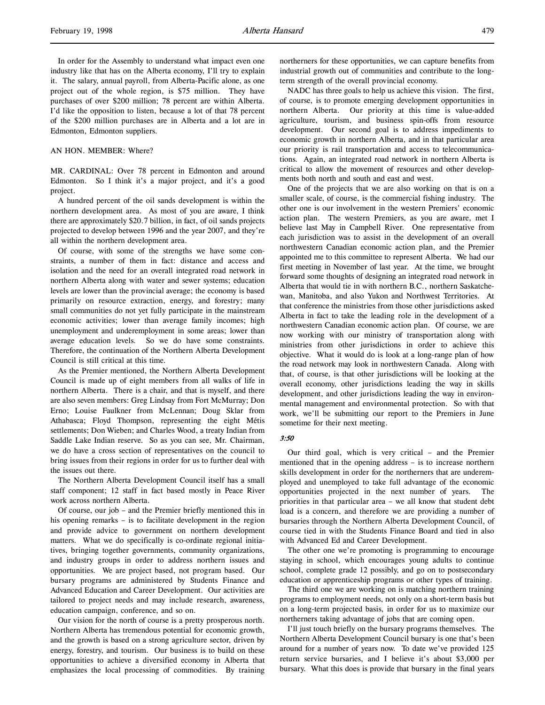#### AN HON. MEMBER: Where?

MR. CARDINAL: Over 78 percent in Edmonton and around Edmonton. So I think it's a major project, and it's a good project.

A hundred percent of the oil sands development is within the northern development area. As most of you are aware, I think there are approximately \$20.7 billion, in fact, of oil sands projects projected to develop between 1996 and the year 2007, and they're all within the northern development area.

Of course, with some of the strengths we have some constraints, a number of them in fact: distance and access and isolation and the need for an overall integrated road network in northern Alberta along with water and sewer systems; education levels are lower than the provincial average; the economy is based primarily on resource extraction, energy, and forestry; many small communities do not yet fully participate in the mainstream economic activities; lower than average family incomes; high unemployment and underemployment in some areas; lower than average education levels. So we do have some constraints. Therefore, the continuation of the Northern Alberta Development Council is still critical at this time.

As the Premier mentioned, the Northern Alberta Development Council is made up of eight members from all walks of life in northern Alberta. There is a chair, and that is myself, and there are also seven members: Greg Lindsay from Fort McMurray; Don Erno; Louise Faulkner from McLennan; Doug Sklar from Athabasca; Floyd Thompson, representing the eight Métis settlements; Don Wieben; and Charles Wood, a treaty Indian from Saddle Lake Indian reserve. So as you can see, Mr. Chairman, we do have a cross section of representatives on the council to bring issues from their regions in order for us to further deal with the issues out there.

The Northern Alberta Development Council itself has a small staff component; 12 staff in fact based mostly in Peace River work across northern Alberta.

Of course, our job – and the Premier briefly mentioned this in his opening remarks – is to facilitate development in the region and provide advice to government on northern development matters. What we do specifically is co-ordinate regional initiatives, bringing together governments, community organizations, and industry groups in order to address northern issues and opportunities. We are project based, not program based. Our bursary programs are administered by Students Finance and Advanced Education and Career Development. Our activities are tailored to project needs and may include research, awareness, education campaign, conference, and so on.

Our vision for the north of course is a pretty prosperous north. Northern Alberta has tremendous potential for economic growth, and the growth is based on a strong agriculture sector, driven by energy, forestry, and tourism. Our business is to build on these opportunities to achieve a diversified economy in Alberta that emphasizes the local processing of commodities. By training

northerners for these opportunities, we can capture benefits from industrial growth out of communities and contribute to the longterm strength of the overall provincial economy.

NADC has three goals to help us achieve this vision. The first, of course, is to promote emerging development opportunities in northern Alberta. Our priority at this time is value-added agriculture, tourism, and business spin-offs from resource development. Our second goal is to address impediments to economic growth in northern Alberta, and in that particular area our priority is rail transportation and access to telecommunications. Again, an integrated road network in northern Alberta is critical to allow the movement of resources and other developments both north and south and east and west.

One of the projects that we are also working on that is on a smaller scale, of course, is the commercial fishing industry. The other one is our involvement in the western Premiers' economic action plan. The western Premiers, as you are aware, met I believe last May in Campbell River. One representative from each jurisdiction was to assist in the development of an overall northwestern Canadian economic action plan, and the Premier appointed me to this committee to represent Alberta. We had our first meeting in November of last year. At the time, we brought forward some thoughts of designing an integrated road network in Alberta that would tie in with northern B.C., northern Saskatchewan, Manitoba, and also Yukon and Northwest Territories. At that conference the ministries from those other jurisdictions asked Alberta in fact to take the leading role in the development of a northwestern Canadian economic action plan. Of course, we are now working with our ministry of transportation along with ministries from other jurisdictions in order to achieve this objective. What it would do is look at a long-range plan of how the road network may look in northwestern Canada. Along with that, of course, is that other jurisdictions will be looking at the overall economy, other jurisdictions leading the way in skills development, and other jurisdictions leading the way in environmental management and environmental protection. So with that work, we'll be submitting our report to the Premiers in June sometime for their next meeting.

#### 3:50

Our third goal, which is very critical – and the Premier mentioned that in the opening address – is to increase northern skills development in order for the northerners that are underemployed and unemployed to take full advantage of the economic opportunities projected in the next number of years. The priorities in that particular area – we all know that student debt load is a concern, and therefore we are providing a number of bursaries through the Northern Alberta Development Council, of course tied in with the Students Finance Board and tied in also with Advanced Ed and Career Development.

The other one we're promoting is programming to encourage staying in school, which encourages young adults to continue school, complete grade 12 possibly, and go on to postsecondary education or apprenticeship programs or other types of training.

The third one we are working on is matching northern training programs to employment needs, not only on a short-term basis but on a long-term projected basis, in order for us to maximize our northerners taking advantage of jobs that are coming open.

I'll just touch briefly on the bursary programs themselves. The Northern Alberta Development Council bursary is one that's been around for a number of years now. To date we've provided 125 return service bursaries, and I believe it's about \$3,000 per bursary. What this does is provide that bursary in the final years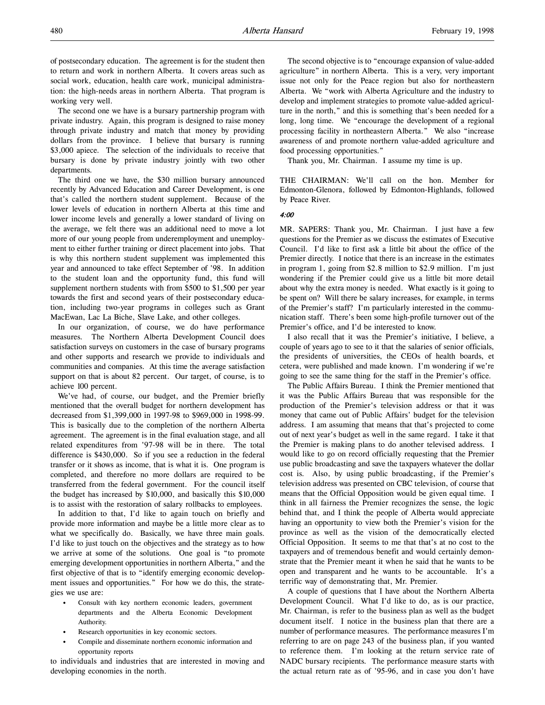of postsecondary education. The agreement is for the student then to return and work in northern Alberta. It covers areas such as social work, education, health care work, municipal administration: the high-needs areas in northern Alberta. That program is working very well.

The second one we have is a bursary partnership program with private industry. Again, this program is designed to raise money through private industry and match that money by providing dollars from the province. I believe that bursary is running \$3,000 apiece. The selection of the individuals to receive that bursary is done by private industry jointly with two other departments.

The third one we have, the \$30 million bursary announced recently by Advanced Education and Career Development, is one that's called the northern student supplement. Because of the lower levels of education in northern Alberta at this time and lower income levels and generally a lower standard of living on the average, we felt there was an additional need to move a lot more of our young people from underemployment and unemployment to either further training or direct placement into jobs. That is why this northern student supplement was implemented this year and announced to take effect September of '98. In addition to the student loan and the opportunity fund, this fund will supplement northern students with from \$500 to \$1,500 per year towards the first and second years of their postsecondary education, including two-year programs in colleges such as Grant MacEwan, Lac La Biche, Slave Lake, and other colleges.

In our organization, of course, we do have performance measures. The Northern Alberta Development Council does satisfaction surveys on customers in the case of bursary programs and other supports and research we provide to individuals and communities and companies. At this time the average satisfaction support on that is about 82 percent. Our target, of course, is to achieve 100 percent.

We've had, of course, our budget, and the Premier briefly mentioned that the overall budget for northern development has decreased from \$1,399,000 in 1997-98 to \$969,000 in 1998-99. This is basically due to the completion of the northern Alberta agreement. The agreement is in the final evaluation stage, and all related expenditures from '97-98 will be in there. The total difference is \$430,000. So if you see a reduction in the federal transfer or it shows as income, that is what it is. One program is completed, and therefore no more dollars are required to be transferred from the federal government. For the council itself the budget has increased by \$10,000, and basically this \$10,000 is to assist with the restoration of salary rollbacks to employees.

In addition to that, I'd like to again touch on briefly and provide more information and maybe be a little more clear as to what we specifically do. Basically, we have three main goals. I'd like to just touch on the objectives and the strategy as to how we arrive at some of the solutions. One goal is "to promote emerging development opportunities in northern Alberta," and the first objective of that is to "identify emerging economic development issues and opportunities." For how we do this, the strategies we use are:

- Consult with key northern economic leaders, government departments and the Alberta Economic Development Authority.
- Research opportunities in key economic sectors.
- Compile and disseminate northern economic information and opportunity reports

to individuals and industries that are interested in moving and developing economies in the north.

The second objective is to "encourage expansion of value-added agriculture" in northern Alberta. This is a very, very important issue not only for the Peace region but also for northeastern Alberta. We "work with Alberta Agriculture and the industry to develop and implement strategies to promote value-added agriculture in the north," and this is something that's been needed for a long, long time. We "encourage the development of a regional processing facility in northeastern Alberta." We also "increase awareness of and promote northern value-added agriculture and food processing opportunities."

Thank you, Mr. Chairman. I assume my time is up.

THE CHAIRMAN: We'll call on the hon. Member for Edmonton-Glenora, followed by Edmonton-Highlands, followed by Peace River.

4:00

MR. SAPERS: Thank you, Mr. Chairman. I just have a few questions for the Premier as we discuss the estimates of Executive Council. I'd like to first ask a little bit about the office of the Premier directly. I notice that there is an increase in the estimates in program 1, going from \$2.8 million to \$2.9 million. I'm just wondering if the Premier could give us a little bit more detail about why the extra money is needed. What exactly is it going to be spent on? Will there be salary increases, for example, in terms of the Premier's staff? I'm particularly interested in the communication staff. There's been some high-profile turnover out of the Premier's office, and I'd be interested to know.

I also recall that it was the Premier's initiative, I believe, a couple of years ago to see to it that the salaries of senior officials, the presidents of universities, the CEOs of health boards, et cetera, were published and made known. I'm wondering if we're going to see the same thing for the staff in the Premier's office.

The Public Affairs Bureau. I think the Premier mentioned that it was the Public Affairs Bureau that was responsible for the production of the Premier's television address or that it was money that came out of Public Affairs' budget for the television address. I am assuming that means that that's projected to come out of next year's budget as well in the same regard. I take it that the Premier is making plans to do another televised address. I would like to go on record officially requesting that the Premier use public broadcasting and save the taxpayers whatever the dollar cost is. Also, by using public broadcasting, if the Premier's television address was presented on CBC television, of course that means that the Official Opposition would be given equal time. I think in all fairness the Premier recognizes the sense, the logic behind that, and I think the people of Alberta would appreciate having an opportunity to view both the Premier's vision for the province as well as the vision of the democratically elected Official Opposition. It seems to me that that's at no cost to the taxpayers and of tremendous benefit and would certainly demonstrate that the Premier meant it when he said that he wants to be open and transparent and he wants to be accountable. It's a terrific way of demonstrating that, Mr. Premier.

A couple of questions that I have about the Northern Alberta Development Council. What I'd like to do, as is our practice, Mr. Chairman, is refer to the business plan as well as the budget document itself. I notice in the business plan that there are a number of performance measures. The performance measures I'm referring to are on page 243 of the business plan, if you wanted to reference them. I'm looking at the return service rate of NADC bursary recipients. The performance measure starts with the actual return rate as of '95-96, and in case you don't have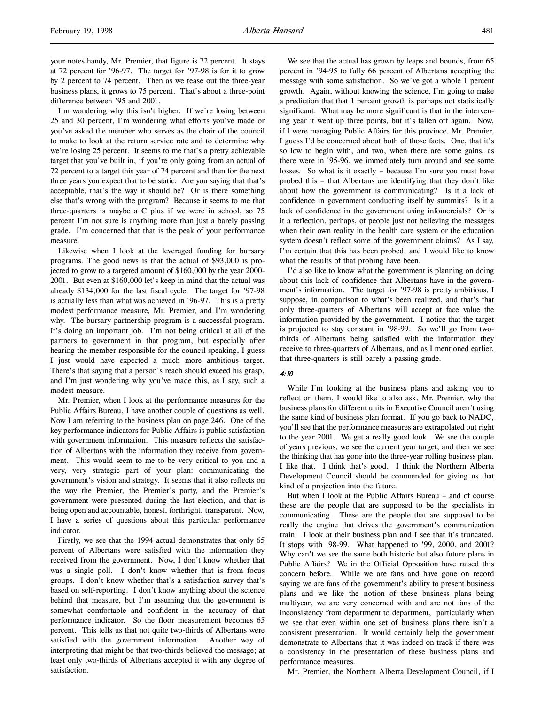your notes handy, Mr. Premier, that figure is 72 percent. It stays at 72 percent for '96-97. The target for '97-98 is for it to grow by 2 percent to 74 percent. Then as we tease out the three-year business plans, it grows to 75 percent. That's about a three-point difference between '95 and 2001.

I'm wondering why this isn't higher. If we're losing between 25 and 30 percent, I'm wondering what efforts you've made or you've asked the member who serves as the chair of the council to make to look at the return service rate and to determine why we're losing 25 percent. It seems to me that's a pretty achievable target that you've built in, if you're only going from an actual of 72 percent to a target this year of 74 percent and then for the next three years you expect that to be static. Are you saying that that's acceptable, that's the way it should be? Or is there something else that's wrong with the program? Because it seems to me that three-quarters is maybe a C plus if we were in school, so 75 percent I'm not sure is anything more than just a barely passing grade. I'm concerned that that is the peak of your performance measure.

Likewise when I look at the leveraged funding for bursary programs. The good news is that the actual of \$93,000 is projected to grow to a targeted amount of \$160,000 by the year 2000- 2001. But even at \$160,000 let's keep in mind that the actual was already \$134,000 for the last fiscal cycle. The target for '97-98 is actually less than what was achieved in '96-97. This is a pretty modest performance measure, Mr. Premier, and I'm wondering why. The bursary partnership program is a successful program. It's doing an important job. I'm not being critical at all of the partners to government in that program, but especially after hearing the member responsible for the council speaking, I guess I just would have expected a much more ambitious target. There's that saying that a person's reach should exceed his grasp, and I'm just wondering why you've made this, as I say, such a modest measure.

Mr. Premier, when I look at the performance measures for the Public Affairs Bureau, I have another couple of questions as well. Now I am referring to the business plan on page 246. One of the key performance indicators for Public Affairs is public satisfaction with government information. This measure reflects the satisfaction of Albertans with the information they receive from government. This would seem to me to be very critical to you and a very, very strategic part of your plan: communicating the government's vision and strategy. It seems that it also reflects on the way the Premier, the Premier's party, and the Premier's government were presented during the last election, and that is being open and accountable, honest, forthright, transparent. Now, I have a series of questions about this particular performance indicator.

Firstly, we see that the 1994 actual demonstrates that only 65 percent of Albertans were satisfied with the information they received from the government. Now, I don't know whether that was a single poll. I don't know whether that is from focus groups. I don't know whether that's a satisfaction survey that's based on self-reporting. I don't know anything about the science behind that measure, but I'm assuming that the government is somewhat comfortable and confident in the accuracy of that performance indicator. So the floor measurement becomes 65 percent. This tells us that not quite two-thirds of Albertans were satisfied with the government information. Another way of interpreting that might be that two-thirds believed the message; at least only two-thirds of Albertans accepted it with any degree of satisfaction.

We see that the actual has grown by leaps and bounds, from 65 percent in '94-95 to fully 66 percent of Albertans accepting the message with some satisfaction. So we've got a whole 1 percent growth. Again, without knowing the science, I'm going to make a prediction that that 1 percent growth is perhaps not statistically significant. What may be more significant is that in the intervening year it went up three points, but it's fallen off again. Now, if I were managing Public Affairs for this province, Mr. Premier, I guess I'd be concerned about both of those facts. One, that it's so low to begin with, and two, when there are some gains, as there were in '95-96, we immediately turn around and see some losses. So what is it exactly – because I'm sure you must have probed this – that Albertans are identifying that they don't like about how the government is communicating? Is it a lack of confidence in government conducting itself by summits? Is it a lack of confidence in the government using infomercials? Or is it a reflection, perhaps, of people just not believing the messages when their own reality in the health care system or the education system doesn't reflect some of the government claims? As I say, I'm certain that this has been probed, and I would like to know what the results of that probing have been.

I'd also like to know what the government is planning on doing about this lack of confidence that Albertans have in the government's information. The target for '97-98 is pretty ambitious, I suppose, in comparison to what's been realized, and that's that only three-quarters of Albertans will accept at face value the information provided by the government. I notice that the target is projected to stay constant in '98-99. So we'll go from twothirds of Albertans being satisfied with the information they receive to three-quarters of Albertans, and as I mentioned earlier, that three-quarters is still barely a passing grade.

#### 4:10

While I'm looking at the business plans and asking you to reflect on them, I would like to also ask, Mr. Premier, why the business plans for different units in Executive Council aren't using the same kind of business plan format. If you go back to NADC, you'll see that the performance measures are extrapolated out right to the year 2001. We get a really good look. We see the couple of years previous, we see the current year target, and then we see the thinking that has gone into the three-year rolling business plan. I like that. I think that's good. I think the Northern Alberta Development Council should be commended for giving us that kind of a projection into the future.

But when I look at the Public Affairs Bureau – and of course these are the people that are supposed to be the specialists in communicating. These are the people that are supposed to be really the engine that drives the government's communication train. I look at their business plan and I see that it's truncated. It stops with '98-99. What happened to '99, 2000, and 2001? Why can't we see the same both historic but also future plans in Public Affairs? We in the Official Opposition have raised this concern before. While we are fans and have gone on record saying we are fans of the government's ability to present business plans and we like the notion of these business plans being multiyear, we are very concerned with and are not fans of the inconsistency from department to department, particularly when we see that even within one set of business plans there isn't a consistent presentation. It would certainly help the government demonstrate to Albertans that it was indeed on track if there was a consistency in the presentation of these business plans and performance measures.

Mr. Premier, the Northern Alberta Development Council, if I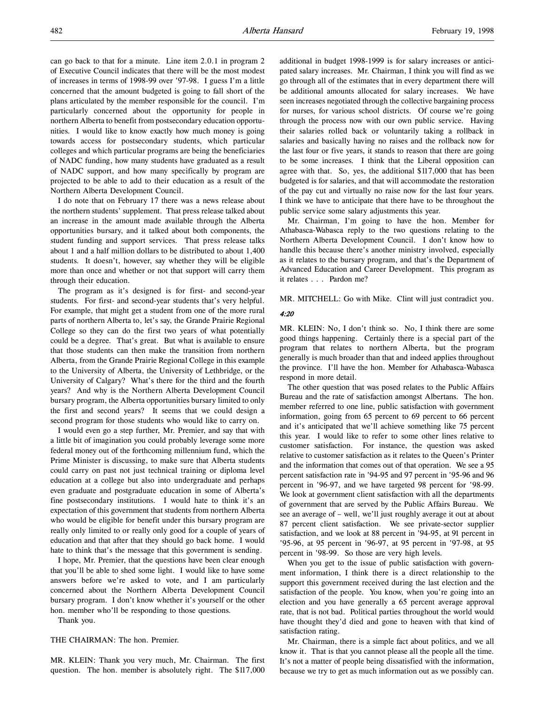can go back to that for a minute. Line item 2.0.1 in program 2 of Executive Council indicates that there will be the most modest of increases in terms of 1998-99 over '97-98. I guess I'm a little concerned that the amount budgeted is going to fall short of the plans articulated by the member responsible for the council. I'm particularly concerned about the opportunity for people in northern Alberta to benefit from postsecondary education opportunities. I would like to know exactly how much money is going towards access for postsecondary students, which particular colleges and which particular programs are being the beneficiaries of NADC funding, how many students have graduated as a result of NADC support, and how many specifically by program are projected to be able to add to their education as a result of the Northern Alberta Development Council.

I do note that on February 17 there was a news release about the northern students' supplement. That press release talked about an increase in the amount made available through the Alberta opportunities bursary, and it talked about both components, the student funding and support services. That press release talks about 1 and a half million dollars to be distributed to about 1,400 students. It doesn't, however, say whether they will be eligible more than once and whether or not that support will carry them through their education.

The program as it's designed is for first- and second-year students. For first- and second-year students that's very helpful. For example, that might get a student from one of the more rural parts of northern Alberta to, let's say, the Grande Prairie Regional College so they can do the first two years of what potentially could be a degree. That's great. But what is available to ensure that those students can then make the transition from northern Alberta, from the Grande Prairie Regional College in this example to the University of Alberta, the University of Lethbridge, or the University of Calgary? What's there for the third and the fourth years? And why is the Northern Alberta Development Council bursary program, the Alberta opportunities bursary limited to only the first and second years? It seems that we could design a second program for those students who would like to carry on.

I would even go a step further, Mr. Premier, and say that with a little bit of imagination you could probably leverage some more federal money out of the forthcoming millennium fund, which the Prime Minister is discussing, to make sure that Alberta students could carry on past not just technical training or diploma level education at a college but also into undergraduate and perhaps even graduate and postgraduate education in some of Alberta's fine postsecondary institutions. I would hate to think it's an expectation of this government that students from northern Alberta who would be eligible for benefit under this bursary program are really only limited to or really only good for a couple of years of education and that after that they should go back home. I would hate to think that's the message that this government is sending.

I hope, Mr. Premier, that the questions have been clear enough that you'll be able to shed some light. I would like to have some answers before we're asked to vote, and I am particularly concerned about the Northern Alberta Development Council bursary program. I don't know whether it's yourself or the other hon. member who'll be responding to those questions.

Thank you.

## THE CHAIRMAN: The hon. Premier.

MR. KLEIN: Thank you very much, Mr. Chairman. The first question. The hon. member is absolutely right. The \$117,000

additional in budget 1998-1999 is for salary increases or anticipated salary increases. Mr. Chairman, I think you will find as we go through all of the estimates that in every department there will be additional amounts allocated for salary increases. We have seen increases negotiated through the collective bargaining process for nurses, for various school districts. Of course we're going through the process now with our own public service. Having their salaries rolled back or voluntarily taking a rollback in salaries and basically having no raises and the rollback now for the last four or five years, it stands to reason that there are going to be some increases. I think that the Liberal opposition can agree with that. So, yes, the additional \$117,000 that has been budgeted is for salaries, and that will accommodate the restoration of the pay cut and virtually no raise now for the last four years. I think we have to anticipate that there have to be throughout the public service some salary adjustments this year.

Mr. Chairman, I'm going to have the hon. Member for Athabasca-Wabasca reply to the two questions relating to the Northern Alberta Development Council. I don't know how to handle this because there's another ministry involved, especially as it relates to the bursary program, and that's the Department of Advanced Education and Career Development. This program as it relates . . . Pardon me?

MR. MITCHELL: Go with Mike. Clint will just contradict you.

#### 4:20

MR. KLEIN: No, I don't think so. No, I think there are some good things happening. Certainly there is a special part of the program that relates to northern Alberta, but the program generally is much broader than that and indeed applies throughout the province. I'll have the hon. Member for Athabasca-Wabasca respond in more detail.

The other question that was posed relates to the Public Affairs Bureau and the rate of satisfaction amongst Albertans. The hon. member referred to one line, public satisfaction with government information, going from 65 percent to 69 percent to 66 percent and it's anticipated that we'll achieve something like 75 percent this year. I would like to refer to some other lines relative to customer satisfaction. For instance, the question was asked relative to customer satisfaction as it relates to the Queen's Printer and the information that comes out of that operation. We see a 95 percent satisfaction rate in '94-95 and 97 percent in '95-96 and 96 percent in '96-97, and we have targeted 98 percent for '98-99. We look at government client satisfaction with all the departments of government that are served by the Public Affairs Bureau. We see an average of – well, we'll just roughly average it out at about 87 percent client satisfaction. We see private-sector supplier satisfaction, and we look at 88 percent in '94-95, at 91 percent in '95-96, at 95 percent in '96-97, at 95 percent in '97-98, at 95 percent in '98-99. So those are very high levels.

When you get to the issue of public satisfaction with government information, I think there is a direct relationship to the support this government received during the last election and the satisfaction of the people. You know, when you're going into an election and you have generally a 65 percent average approval rate, that is not bad. Political parties throughout the world would have thought they'd died and gone to heaven with that kind of satisfaction rating.

Mr. Chairman, there is a simple fact about politics, and we all know it. That is that you cannot please all the people all the time. It's not a matter of people being dissatisfied with the information, because we try to get as much information out as we possibly can.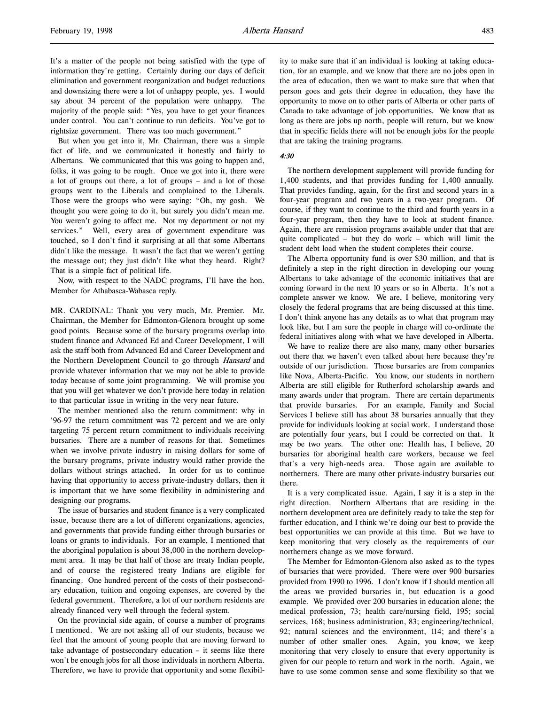But when you get into it, Mr. Chairman, there was a simple fact of life, and we communicated it honestly and fairly to Albertans. We communicated that this was going to happen and, folks, it was going to be rough. Once we got into it, there were a lot of groups out there, a lot of groups – and a lot of those groups went to the Liberals and complained to the Liberals. Those were the groups who were saying: "Oh, my gosh. We thought you were going to do it, but surely you didn't mean me. You weren't going to affect me. Not my department or not my services." Well, every area of government expenditure was touched, so I don't find it surprising at all that some Albertans didn't like the message. It wasn't the fact that we weren't getting the message out; they just didn't like what they heard. Right? That is a simple fact of political life.

Now, with respect to the NADC programs, I'll have the hon. Member for Athabasca-Wabasca reply.

MR. CARDINAL: Thank you very much, Mr. Premier. Mr. Chairman, the Member for Edmonton-Glenora brought up some good points. Because some of the bursary programs overlap into student finance and Advanced Ed and Career Development, I will ask the staff both from Advanced Ed and Career Development and the Northern Development Council to go through Hansard and provide whatever information that we may not be able to provide today because of some joint programming. We will promise you that you will get whatever we don't provide here today in relation to that particular issue in writing in the very near future.

The member mentioned also the return commitment: why in '96-97 the return commitment was 72 percent and we are only targeting 75 percent return commitment to individuals receiving bursaries. There are a number of reasons for that. Sometimes when we involve private industry in raising dollars for some of the bursary programs, private industry would rather provide the dollars without strings attached. In order for us to continue having that opportunity to access private-industry dollars, then it is important that we have some flexibility in administering and designing our programs.

The issue of bursaries and student finance is a very complicated issue, because there are a lot of different organizations, agencies, and governments that provide funding either through bursaries or loans or grants to individuals. For an example, I mentioned that the aboriginal population is about 38,000 in the northern development area. It may be that half of those are treaty Indian people, and of course the registered treaty Indians are eligible for financing. One hundred percent of the costs of their postsecondary education, tuition and ongoing expenses, are covered by the federal government. Therefore, a lot of our northern residents are already financed very well through the federal system.

On the provincial side again, of course a number of programs I mentioned. We are not asking all of our students, because we feel that the amount of young people that are moving forward to take advantage of postsecondary education – it seems like there won't be enough jobs for all those individuals in northern Alberta. Therefore, we have to provide that opportunity and some flexibility to make sure that if an individual is looking at taking education, for an example, and we know that there are no jobs open in the area of education, then we want to make sure that when that person goes and gets their degree in education, they have the opportunity to move on to other parts of Alberta or other parts of Canada to take advantage of job opportunities. We know that as long as there are jobs up north, people will return, but we know that in specific fields there will not be enough jobs for the people that are taking the training programs.

### 4:30

The northern development supplement will provide funding for 1,400 students, and that provides funding for 1,400 annually. That provides funding, again, for the first and second years in a four-year program and two years in a two-year program. Of course, if they want to continue to the third and fourth years in a four-year program, then they have to look at student finance. Again, there are remission programs available under that that are quite complicated – but they do work – which will limit the student debt load when the student completes their course.

The Alberta opportunity fund is over \$30 million, and that is definitely a step in the right direction in developing our young Albertans to take advantage of the economic initiatives that are coming forward in the next 10 years or so in Alberta. It's not a complete answer we know. We are, I believe, monitoring very closely the federal programs that are being discussed at this time. I don't think anyone has any details as to what that program may look like, but I am sure the people in charge will co-ordinate the federal initiatives along with what we have developed in Alberta.

We have to realize there are also many, many other bursaries out there that we haven't even talked about here because they're outside of our jurisdiction. Those bursaries are from companies like Nova, Alberta-Pacific. You know, our students in northern Alberta are still eligible for Rutherford scholarship awards and many awards under that program. There are certain departments that provide bursaries. For an example, Family and Social Services I believe still has about 38 bursaries annually that they provide for individuals looking at social work. I understand those are potentially four years, but I could be corrected on that. It may be two years. The other one: Health has, I believe, 20 bursaries for aboriginal health care workers, because we feel that's a very high-needs area. Those again are available to northerners. There are many other private-industry bursaries out there.

It is a very complicated issue. Again, I say it is a step in the right direction. Northern Albertans that are residing in the northern development area are definitely ready to take the step for further education, and I think we're doing our best to provide the best opportunities we can provide at this time. But we have to keep monitoring that very closely as the requirements of our northerners change as we move forward.

The Member for Edmonton-Glenora also asked as to the types of bursaries that were provided. There were over 900 bursaries provided from 1990 to 1996. I don't know if I should mention all the areas we provided bursaries in, but education is a good example. We provided over 200 bursaries in education alone; the medical profession, 73; health care/nursing field, 195; social services, 168; business administration, 83; engineering/technical, 92; natural sciences and the environment, 114; and there's a number of other smaller ones. Again, you know, we keep monitoring that very closely to ensure that every opportunity is given for our people to return and work in the north. Again, we have to use some common sense and some flexibility so that we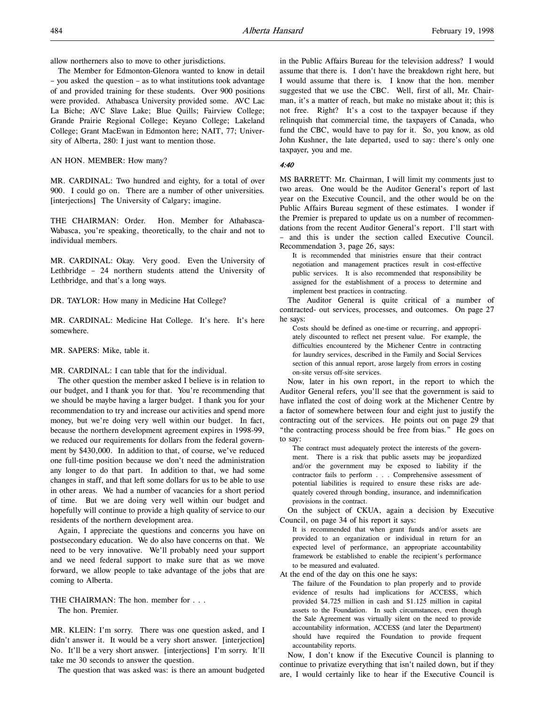allow northerners also to move to other jurisdictions.

The Member for Edmonton-Glenora wanted to know in detail – you asked the question – as to what institutions took advantage of and provided training for these students. Over 900 positions were provided. Athabasca University provided some. AVC Lac La Biche; AVC Slave Lake; Blue Quills; Fairview College; Grande Prairie Regional College; Keyano College; Lakeland College; Grant MacEwan in Edmonton here; NAIT, 77; University of Alberta, 280: I just want to mention those.

AN HON. MEMBER: How many?

MR. CARDINAL: Two hundred and eighty, for a total of over 900. I could go on. There are a number of other universities. [interjections] The University of Calgary; imagine.

THE CHAIRMAN: Order. Hon. Member for Athabasca-Wabasca, you're speaking, theoretically, to the chair and not to individual members.

MR. CARDINAL: Okay. Very good. Even the University of Lethbridge – 24 northern students attend the University of Lethbridge, and that's a long ways.

DR. TAYLOR: How many in Medicine Hat College?

MR. CARDINAL: Medicine Hat College. It's here. It's here somewhere.

MR. SAPERS: Mike, table it.

MR. CARDINAL: I can table that for the individual.

The other question the member asked I believe is in relation to our budget, and I thank you for that. You're recommending that we should be maybe having a larger budget. I thank you for your recommendation to try and increase our activities and spend more money, but we're doing very well within our budget. In fact, because the northern development agreement expires in 1998-99, we reduced our requirements for dollars from the federal government by \$430,000. In addition to that, of course, we've reduced one full-time position because we don't need the administration any longer to do that part. In addition to that, we had some changes in staff, and that left some dollars for us to be able to use in other areas. We had a number of vacancies for a short period of time. But we are doing very well within our budget and hopefully will continue to provide a high quality of service to our residents of the northern development area.

Again, I appreciate the questions and concerns you have on postsecondary education. We do also have concerns on that. We need to be very innovative. We'll probably need your support and we need federal support to make sure that as we move forward, we allow people to take advantage of the jobs that are coming to Alberta.

THE CHAIRMAN: The hon. member for . . . The hon. Premier.

MR. KLEIN: I'm sorry. There was one question asked, and I didn't answer it. It would be a very short answer. [interjection] No. It'll be a very short answer. [interjections] I'm sorry. It'll take me 30 seconds to answer the question.

The question that was asked was: is there an amount budgeted

in the Public Affairs Bureau for the television address? I would assume that there is. I don't have the breakdown right here, but I would assume that there is. I know that the hon. member suggested that we use the CBC. Well, first of all, Mr. Chairman, it's a matter of reach, but make no mistake about it; this is not free. Right? It's a cost to the taxpayer because if they relinquish that commercial time, the taxpayers of Canada, who fund the CBC, would have to pay for it. So, you know, as old John Kushner, the late departed, used to say: there's only one taxpayer, you and me.

#### 4:40

MS BARRETT: Mr. Chairman, I will limit my comments just to two areas. One would be the Auditor General's report of last year on the Executive Council, and the other would be on the Public Affairs Bureau segment of these estimates. I wonder if the Premier is prepared to update us on a number of recommendations from the recent Auditor General's report. I'll start with – and this is under the section called Executive Council. Recommendation 3, page 26, says:

It is recommended that ministries ensure that their contract negotiation and management practices result in cost-effective public services. It is also recommended that responsibility be assigned for the establishment of a process to determine and implement best practices in contracting.

The Auditor General is quite critical of a number of contracted- out services, processes, and outcomes. On page 27 he says:

Costs should be defined as one-time or recurring, and appropriately discounted to reflect net present value. For example, the difficulties encountered by the Michener Centre in contracting for laundry services, described in the Family and Social Services section of this annual report, arose largely from errors in costing on-site versus off-site services.

Now, later in his own report, in the report to which the Auditor General refers, you'll see that the government is said to have inflated the cost of doing work at the Michener Centre by a factor of somewhere between four and eight just to justify the contracting out of the services. He points out on page 29 that "the contracting process should be free from bias." He goes on to say:

The contract must adequately protect the interests of the government. There is a risk that public assets may be jeopardized and/or the government may be exposed to liability if the contractor fails to perform . . . Comprehensive assessment of potential liabilities is required to ensure these risks are adequately covered through bonding, insurance, and indemnification provisions in the contract.

On the subject of CKUA, again a decision by Executive Council, on page 34 of his report it says:

It is recommended that when grant funds and/or assets are provided to an organization or individual in return for an expected level of performance, an appropriate accountability framework be established to enable the recipient's performance to be measured and evaluated.

At the end of the day on this one he says:

The failure of the Foundation to plan properly and to provide evidence of results had implications for ACCESS, which provided \$4.725 million in cash and \$1.125 million in capital assets to the Foundation. In such circumstances, even though the Sale Agreement was virtually silent on the need to provide accountability information, ACCESS (and later the Department) should have required the Foundation to provide frequent accountability reports.

Now, I don't know if the Executive Council is planning to continue to privatize everything that isn't nailed down, but if they are, I would certainly like to hear if the Executive Council is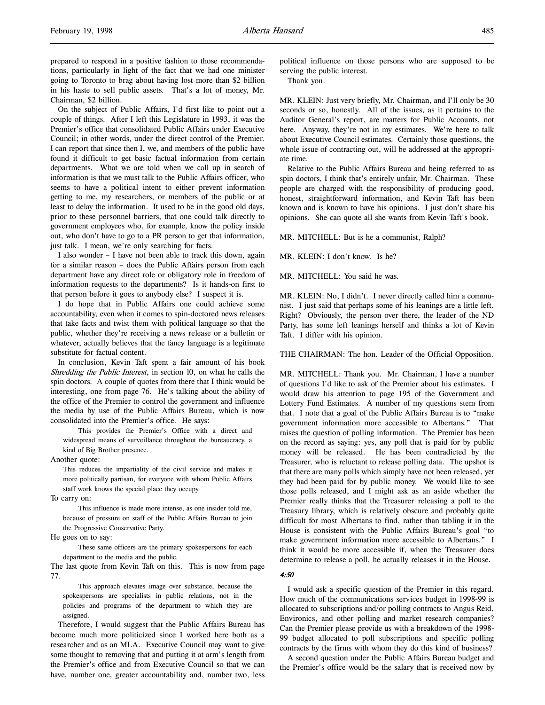Chairman, \$2 billion. On the subject of Public Affairs, I'd first like to point out a couple of things. After I left this Legislature in 1993, it was the Premier's office that consolidated Public Affairs under Executive Council; in other words, under the direct control of the Premier. I can report that since then I, we, and members of the public have found it difficult to get basic factual information from certain departments. What we are told when we call up in search of information is that we must talk to the Public Affairs officer, who seems to have a political intent to either prevent information getting to me, my researchers, or members of the public or at least to delay the information. It used to be in the good old days, prior to these personnel barriers, that one could talk directly to government employees who, for example, know the policy inside out, who don't have to go to a PR person to get that information, just talk. I mean, we're only searching for facts.

I also wonder – I have not been able to track this down, again for a similar reason – does the Public Affairs person from each department have any direct role or obligatory role in freedom of information requests to the departments? Is it hands-on first to that person before it goes to anybody else? I suspect it is.

I do hope that in Public Affairs one could achieve some accountability, even when it comes to spin-doctored news releases that take facts and twist them with political language so that the public, whether they're receiving a news release or a bulletin or whatever, actually believes that the fancy language is a legitimate substitute for factual content.

In conclusion, Kevin Taft spent a fair amount of his book Shredding the Public Interest, in section 10, on what he calls the spin doctors. A couple of quotes from there that I think would be interesting, one from page 76. He's talking about the ability of the office of the Premier to control the government and influence the media by use of the Public Affairs Bureau, which is now consolidated into the Premier's office. He says:

This provides the Premier's Office with a direct and widespread means of surveillance throughout the bureaucracy, a kind of Big Brother presence.

Another quote:

This reduces the impartiality of the civil service and makes it more politically partisan, for everyone with whom Public Affairs staff work knows the special place they occupy.

To carry on:

This influence is made more intense, as one insider told me, because of pressure on staff of the Public Affairs Bureau to join the Progressive Conservative Party.

He goes on to say:

These same officers are the primary spokespersons for each department to the media and the public.

The last quote from Kevin Taft on this. This is now from page 77.

This approach elevates image over substance, because the spokespersons are specialists in public relations, not in the policies and programs of the department to which they are assigned.

Therefore, I would suggest that the Public Affairs Bureau has become much more politicized since I worked here both as a researcher and as an MLA. Executive Council may want to give some thought to removing that and putting it at arm's length from the Premier's office and from Executive Council so that we can have, number one, greater accountability and, number two, less

political influence on those persons who are supposed to be serving the public interest.

Thank you.

MR. KLEIN: Just very briefly, Mr. Chairman, and I'll only be 30 seconds or so, honestly. All of the issues, as it pertains to the Auditor General's report, are matters for Public Accounts, not here. Anyway, they're not in my estimates. We're here to talk about Executive Council estimates. Certainly those questions, the whole issue of contracting out, will be addressed at the appropriate time.

Relative to the Public Affairs Bureau and being referred to as spin doctors, I think that's entirely unfair, Mr. Chairman. These people are charged with the responsibility of producing good, honest, straightforward information, and Kevin Taft has been known and is known to have his opinions. I just don't share his opinions. She can quote all she wants from Kevin Taft's book.

MR. MITCHELL: But is he a communist, Ralph?

MR. KLEIN: I don't know. Is he?

MR. MITCHELL: You said he was.

MR. KLEIN: No, I didn't. I never directly called him a communist. I just said that perhaps some of his leanings are a little left. Right? Obviously, the person over there, the leader of the ND Party, has some left leanings herself and thinks a lot of Kevin Taft. I differ with his opinion.

THE CHAIRMAN: The hon. Leader of the Official Opposition.

MR. MITCHELL: Thank you. Mr. Chairman, I have a number of questions I'd like to ask of the Premier about his estimates. I would draw his attention to page 195 of the Government and Lottery Fund Estimates. A number of my questions stem from that. I note that a goal of the Public Affairs Bureau is to "make government information more accessible to Albertans." That raises the question of polling information. The Premier has been on the record as saying: yes, any poll that is paid for by public money will be released. He has been contradicted by the Treasurer, who is reluctant to release polling data. The upshot is that there are many polls which simply have not been released, yet they had been paid for by public money. We would like to see those polls released, and I might ask as an aside whether the Premier really thinks that the Treasurer releasing a poll to the Treasury library, which is relatively obscure and probably quite difficult for most Albertans to find, rather than tabling it in the House is consistent with the Public Affairs Bureau's goal "to make government information more accessible to Albertans." I think it would be more accessible if, when the Treasurer does determine to release a poll, he actually releases it in the House.

#### 4:50

I would ask a specific question of the Premier in this regard. How much of the communications services budget in 1998-99 is allocated to subscriptions and/or polling contracts to Angus Reid, Environics, and other polling and market research companies? Can the Premier please provide us with a breakdown of the 1998- 99 budget allocated to poll subscriptions and specific polling contracts by the firms with whom they do this kind of business?

A second question under the Public Affairs Bureau budget and the Premier's office would be the salary that is received now by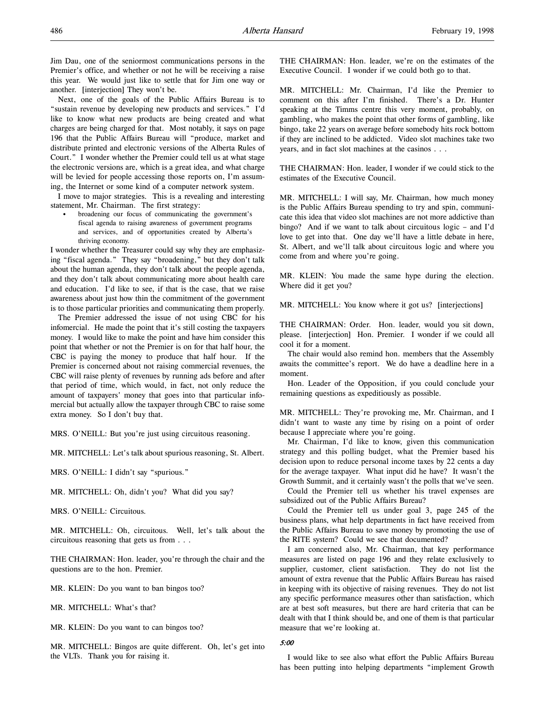Jim Dau, one of the seniormost communications persons in the Premier's office, and whether or not he will be receiving a raise this year. We would just like to settle that for Jim one way or another. [interjection] They won't be.

Next, one of the goals of the Public Affairs Bureau is to "sustain revenue by developing new products and services." I'd like to know what new products are being created and what charges are being charged for that. Most notably, it says on page 196 that the Public Affairs Bureau will "produce, market and distribute printed and electronic versions of the Alberta Rules of Court." I wonder whether the Premier could tell us at what stage the electronic versions are, which is a great idea, and what charge will be levied for people accessing those reports on, I'm assuming, the Internet or some kind of a computer network system.

I move to major strategies. This is a revealing and interesting statement, Mr. Chairman. The first strategy:

• broadening our focus of communicating the government's fiscal agenda to raising awareness of government programs and services, and of opportunities created by Alberta's thriving economy.

I wonder whether the Treasurer could say why they are emphasizing "fiscal agenda." They say "broadening," but they don't talk about the human agenda, they don't talk about the people agenda, and they don't talk about communicating more about health care and education. I'd like to see, if that is the case, that we raise awareness about just how thin the commitment of the government is to those particular priorities and communicating them properly.

The Premier addressed the issue of not using CBC for his infomercial. He made the point that it's still costing the taxpayers money. I would like to make the point and have him consider this point that whether or not the Premier is on for that half hour, the CBC is paying the money to produce that half hour. If the Premier is concerned about not raising commercial revenues, the CBC will raise plenty of revenues by running ads before and after that period of time, which would, in fact, not only reduce the amount of taxpayers' money that goes into that particular infomercial but actually allow the taxpayer through CBC to raise some extra money. So I don't buy that.

MRS. O'NEILL: But you're just using circuitous reasoning.

MR. MITCHELL: Let's talk about spurious reasoning, St. Albert.

MRS. O'NEILL: I didn't say "spurious."

MR. MITCHELL: Oh, didn't you? What did you say?

MRS. O'NEILL: Circuitous.

MR. MITCHELL: Oh, circuitous. Well, let's talk about the circuitous reasoning that gets us from . . .

THE CHAIRMAN: Hon. leader, you're through the chair and the questions are to the hon. Premier.

MR. KLEIN: Do you want to ban bingos too?

MR. MITCHELL: What's that?

MR. KLEIN: Do you want to can bingos too?

MR. MITCHELL: Bingos are quite different. Oh, let's get into the VLTs. Thank you for raising it.

THE CHAIRMAN: Hon. leader, we're on the estimates of the Executive Council. I wonder if we could both go to that.

MR. MITCHELL: Mr. Chairman, I'd like the Premier to comment on this after I'm finished. There's a Dr. Hunter speaking at the Timms centre this very moment, probably, on gambling, who makes the point that other forms of gambling, like bingo, take 22 years on average before somebody hits rock bottom if they are inclined to be addicted. Video slot machines take two years, and in fact slot machines at the casinos . . .

THE CHAIRMAN: Hon. leader, I wonder if we could stick to the estimates of the Executive Council.

MR. MITCHELL: I will say, Mr. Chairman, how much money is the Public Affairs Bureau spending to try and spin, communicate this idea that video slot machines are not more addictive than bingo? And if we want to talk about circuitous logic – and I'd love to get into that. One day we'll have a little debate in here, St. Albert, and we'll talk about circuitous logic and where you come from and where you're going.

MR. KLEIN: You made the same hype during the election. Where did it get you?

MR. MITCHELL: You know where it got us? [interjections]

THE CHAIRMAN: Order. Hon. leader, would you sit down, please. [interjection] Hon. Premier. I wonder if we could all cool it for a moment.

The chair would also remind hon. members that the Assembly awaits the committee's report. We do have a deadline here in a moment.

Hon. Leader of the Opposition, if you could conclude your remaining questions as expeditiously as possible.

MR. MITCHELL: They're provoking me, Mr. Chairman, and I didn't want to waste any time by rising on a point of order because I appreciate where you're going.

Mr. Chairman, I'd like to know, given this communication strategy and this polling budget, what the Premier based his decision upon to reduce personal income taxes by 22 cents a day for the average taxpayer. What input did he have? It wasn't the Growth Summit, and it certainly wasn't the polls that we've seen.

Could the Premier tell us whether his travel expenses are subsidized out of the Public Affairs Bureau?

Could the Premier tell us under goal 3, page 245 of the business plans, what help departments in fact have received from the Public Affairs Bureau to save money by promoting the use of the RITE system? Could we see that documented?

I am concerned also, Mr. Chairman, that key performance measures are listed on page 196 and they relate exclusively to supplier, customer, client satisfaction. They do not list the amount of extra revenue that the Public Affairs Bureau has raised in keeping with its objective of raising revenues. They do not list any specific performance measures other than satisfaction, which are at best soft measures, but there are hard criteria that can be dealt with that I think should be, and one of them is that particular measure that we're looking at.

#### 5:00

I would like to see also what effort the Public Affairs Bureau has been putting into helping departments "implement Growth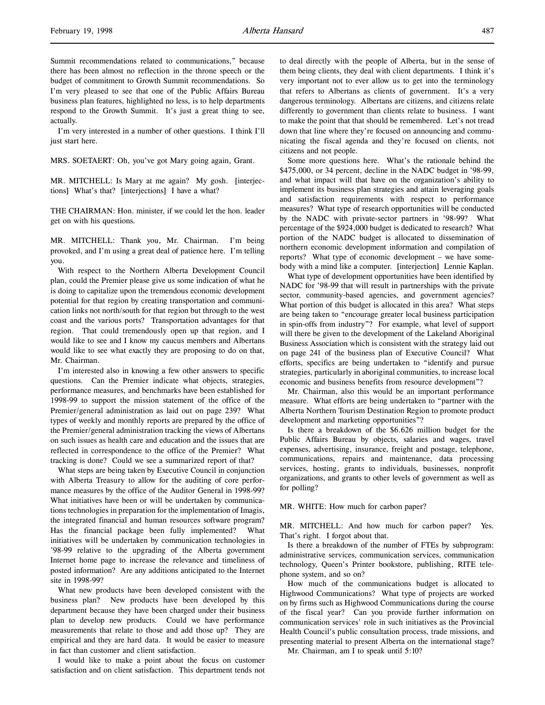Summit recommendations related to communications," because there has been almost no reflection in the throne speech or the budget of commitment to Growth Summit recommendations. So I'm very pleased to see that one of the Public Affairs Bureau business plan features, highlighted no less, is to help departments respond to the Growth Summit. It's just a great thing to see, actually.

I'm very interested in a number of other questions. I think I'll just start here.

MRS. SOETAERT: Oh, you've got Mary going again, Grant.

MR. MITCHELL: Is Mary at me again? My gosh. [interjections] What's that? [interjections] I have a what?

THE CHAIRMAN: Hon. minister, if we could let the hon. leader get on with his questions.

MR. MITCHELL: Thank you, Mr. Chairman. I'm being provoked, and I'm using a great deal of patience here. I'm telling you.

With respect to the Northern Alberta Development Council plan, could the Premier please give us some indication of what he is doing to capitalize upon the tremendous economic development potential for that region by creating transportation and communication links not north/south for that region but through to the west coast and the various ports? Transportation advantages for that region. That could tremendously open up that region, and I would like to see and I know my caucus members and Albertans would like to see what exactly they are proposing to do on that, Mr. Chairman.

I'm interested also in knowing a few other answers to specific questions. Can the Premier indicate what objects, strategies, performance measures, and benchmarks have been established for 1998-99 to support the mission statement of the office of the Premier/general administration as laid out on page 239? What types of weekly and monthly reports are prepared by the office of the Premier/general administration tracking the views of Albertans on such issues as health care and education and the issues that are reflected in correspondence to the office of the Premier? What tracking is done? Could we see a summarized report of that?

What steps are being taken by Executive Council in conjunction with Alberta Treasury to allow for the auditing of core performance measures by the office of the Auditor General in 1998-99? What initiatives have been or will be undertaken by communications technologies in preparation for the implementation of Imagis, the integrated financial and human resources software program? Has the financial package been fully implemented? What initiatives will be undertaken by communication technologies in '98-99 relative to the upgrading of the Alberta government Internet home page to increase the relevance and timeliness of posted information? Are any additions anticipated to the Internet site in 1998-99?

What new products have been developed consistent with the business plan? New products have been developed by this department because they have been charged under their business plan to develop new products. Could we have performance measurements that relate to those and add those up? They are empirical and they are hard data. It would be easier to measure in fact than customer and client satisfaction.

I would like to make a point about the focus on customer satisfaction and on client satisfaction. This department tends not to deal directly with the people of Alberta, but in the sense of them being clients, they deal with client departments. I think it's very important not to ever allow us to get into the terminology that refers to Albertans as clients of government. It's a very dangerous terminology. Albertans are citizens, and citizens relate differently to government than clients relate to business. I want to make the point that that should be remembered. Let's not tread down that line where they're focused on announcing and communicating the fiscal agenda and they're focused on clients, not citizens and not people.

Some more questions here. What's the rationale behind the \$475,000, or 34 percent, decline in the NADC budget in '98-99, and what impact will that have on the organization's ability to implement its business plan strategies and attain leveraging goals and satisfaction requirements with respect to performance measures? What type of research opportunities will be conducted by the NADC with private-sector partners in '98-99? What percentage of the \$924,000 budget is dedicated to research? What portion of the NADC budget is allocated to dissemination of northern economic development information and compilation of reports? What type of economic development – we have somebody with a mind like a computer. [interjection] Lennie Kaplan.

What type of development opportunities have been identified by NADC for '98-99 that will result in partnerships with the private sector, community-based agencies, and government agencies? What portion of this budget is allocated in this area? What steps are being taken to "encourage greater local business participation in spin-offs from industry"? For example, what level of support will there be given to the development of the Lakeland Aboriginal Business Association which is consistent with the strategy laid out on page 241 of the business plan of Executive Council? What efforts, specifics are being undertaken to "identify and pursue strategies, particularly in aboriginal communities, to increase local economic and business benefits from resource development"?

Mr. Chairman, also this would be an important performance measure. What efforts are being undertaken to "partner with the Alberta Northern Tourism Destination Region to promote product development and marketing opportunities"?

Is there a breakdown of the \$6.626 million budget for the Public Affairs Bureau by objects, salaries and wages, travel expenses, advertising, insurance, freight and postage, telephone, communications, repairs and maintenance, data processing services, hosting, grants to individuals, businesses, nonprofit organizations, and grants to other levels of government as well as for polling?

MR. WHITE: How much for carbon paper?

MR. MITCHELL: And how much for carbon paper? Yes. That's right. I forgot about that.

Is there a breakdown of the number of FTEs by subprogram: administrative services, communication services, communication technology, Queen's Printer bookstore, publishing, RITE telephone system, and so on?

How much of the communications budget is allocated to Highwood Communications? What type of projects are worked on by firms such as Highwood Communications during the course of the fiscal year? Can you provide further information on communication services' role in such initiatives as the Provincial Health Council's public consultation process, trade missions, and presenting material to present Alberta on the international stage?

Mr. Chairman, am I to speak until 5:10?